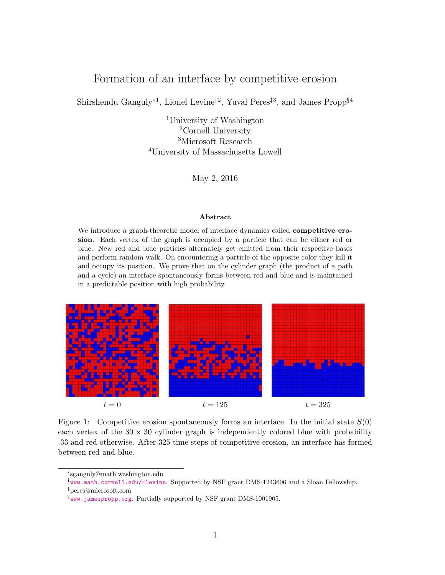# Formation of an interface by competitive erosion

Shirshendu Ganguly<sup>∗1</sup>, Lionel Levine<sup>†2</sup>, Yuval Peres<sup>‡3</sup>, and James Propp<sup>§4</sup>

University of Washington Cornell University Microsoft Research University of Massachusetts Lowell

May 2, 2016

#### Abstract

We introduce a graph-theoretic model of interface dynamics called **competitive ero**sion. Each vertex of the graph is occupied by a particle that can be either red or blue. New red and blue particles alternately get emitted from their respective bases and perform random walk. On encountering a particle of the opposite color they kill it and occupy its position. We prove that on the cylinder graph (the product of a path and a cycle) an interface spontaneously forms between red and blue and is maintained in a predictable position with high probability.



<span id="page-0-0"></span>Figure 1: Competitive erosion spontaneously forms an interface. In the initial state  $S(0)$ each vertex of the  $30 \times 30$  cylinder graph is independently colored blue with probability .33 and red otherwise. After 325 time steps of competitive erosion, an interface has formed between red and blue.

<sup>∗</sup> sganguly@math.washington.edu

<sup>†</sup> <www.math.cornell.edu/~levine>. Supported by NSF grant DMS-1243606 and a Sloan Fellowship. ‡peres@microsoft.com

 $\S$ <www.jamespropp.org>. Partially supported by NSF grant DMS-1001905.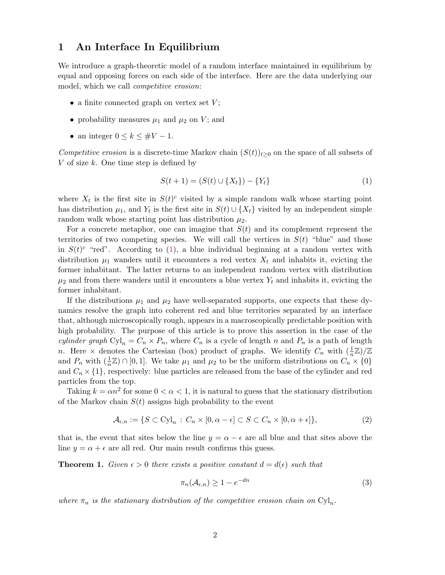# 1 An Interface In Equilibrium

We introduce a graph-theoretic model of a random interface maintained in equilibrium by equal and opposing forces on each side of the interface. Here are the data underlying our model, which we call *competitive erosion*:

- a finite connected graph on vertex set  $V$ ;
- probability measures  $\mu_1$  and  $\mu_2$  on V; and
- an integer  $0 \leq k \leq #V 1$ .

Competitive erosion is a discrete-time Markov chain  $(S(t))_{t\geq0}$  on the space of all subsets of V of size  $k$ . One time step is defined by

<span id="page-1-0"></span>
$$
S(t+1) = (S(t) \cup \{X_t\}) - \{Y_t\} \tag{1}
$$

where  $X_t$  is the first site in  $S(t)^c$  visited by a simple random walk whose starting point has distribution  $\mu_1$ , and  $Y_t$  is the first site in  $S(t) \cup \{X_t\}$  visited by an independent simple random walk whose starting point has distribution  $\mu_2$ .

For a concrete metaphor, one can imagine that  $S(t)$  and its complement represent the territories of two competing species. We will call the vertices in  $S(t)$  "blue" and those in  $S(t)$ <sup>c</sup> "red". According to [\(1\)](#page-1-0), a blue individual beginning at a random vertex with distribution  $\mu_1$  wanders until it encounters a red vertex  $X_t$  and inhabits it, evicting the former inhabitant. The latter returns to an independent random vertex with distribution  $\mu_2$  and from there wanders until it encounters a blue vertex  $Y_t$  and inhabits it, evicting the former inhabitant.

If the distributions  $\mu_1$  and  $\mu_2$  have well-separated supports, one expects that these dynamics resolve the graph into coherent red and blue territories separated by an interface that, although microscopically rough, appears in a macroscopically predictable position with high probability. The purpose of this article is to prove this assertion in the case of the cylinder graph  $\text{Cyl}_n = C_n \times P_n$ , where  $C_n$  is a cycle of length n and  $P_n$  is a path of length n. Here  $\times$  denotes the Cartesian (box) product of graphs. We identify  $C_n$  with  $(\frac{1}{n}\mathbb{Z})/\mathbb{Z}$ and  $P_n$  with  $(\frac{1}{n}\mathbb{Z}) \cap [0,1]$ . We take  $\mu_1$  and  $\mu_2$  to be the uniform distributions on  $C_n \times \{0\}$ and  $C_n \times \{1\}$ , respectively: blue particles are released from the base of the cylinder and red particles from the top.

Taking  $k = \alpha n^2$  for some  $0 < \alpha < 1$ , it is natural to guess that the stationary distribution of the Markov chain  $S(t)$  assigns high probability to the event

<span id="page-1-2"></span>
$$
\mathcal{A}_{\epsilon,n} := \{ S \subset \text{Cyl}_n : C_n \times [0, \alpha - \epsilon] \subset S \subset C_n \times [0, \alpha + \epsilon] \},\tag{2}
$$

that is, the event that sites below the line  $y = \alpha - \epsilon$  are all blue and that sites above the line  $y = \alpha + \epsilon$  are all red. Our main result confirms this guess.

<span id="page-1-1"></span>**Theorem 1.** Given  $\epsilon > 0$  there exists a positive constant  $d = d(\epsilon)$  such that

$$
\pi_n(\mathcal{A}_{\epsilon,n}) \ge 1 - e^{-dn} \tag{3}
$$

where  $\pi_n$  is the stationary distribution of the competitive erosion chain on  $\text{Cyl}_n$ .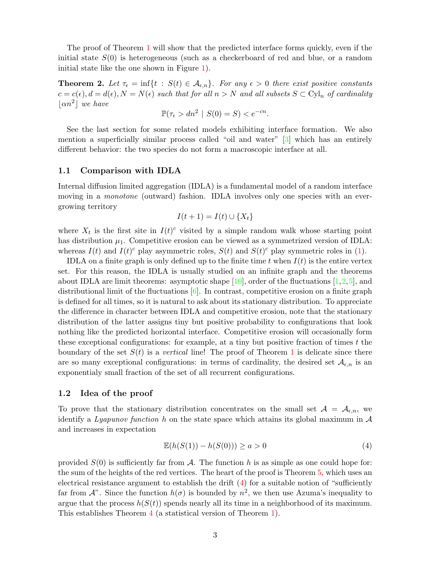The proof of Theorem [1](#page-1-1) will show that the predicted interface forms quickly, even if the initial state  $S(0)$  is heterogeneous (such as a checkerboard of red and blue, or a random initial state like the one shown in Figure [1\)](#page-0-0).

<span id="page-2-1"></span>**Theorem 2.** Let  $\tau_{\epsilon} = \inf\{t : S(t) \in \mathcal{A}_{\epsilon,n}\}\$ . For any  $\epsilon > 0$  there exist positive constants  $c = c(\epsilon), d = d(\epsilon), N = N(\epsilon)$  such that for all  $n > N$  and all subsets  $S \subset Cyl_n$  of cardinality  $\lfloor \alpha n^2 \rfloor$  we have

$$
\mathbb{P}(\tau_{\epsilon} > dn^2 \mid S(0) = S) < e^{-cn}.
$$

See the last section for some related models exhibiting interface formation. We also mention a superficially similar process called "oil and water" [\[3\]](#page-46-0) which has an entirely different behavior: the two species do not form a macroscopic interface at all.

#### <span id="page-2-2"></span>1.1 Comparison with IDLA

Internal diffusion limited aggregation (IDLA) is a fundamental model of a random interface moving in a *monotone* (outward) fashion. IDLA involves only one species with an evergrowing territory

$$
I(t+1) = I(t) \cup \{X_t\}
$$

where  $X_t$  is the first site in  $I(t)^c$  visited by a simple random walk whose starting point has distribution  $\mu_1$ . Competitive erosion can be viewed as a symmetrized version of IDLA: whereas  $I(t)$  and  $I(t)^c$  play asymmetric roles,  $S(t)$  and  $S(t)^c$  play symmetric roles in [\(1\)](#page-1-0).

IDLA on a finite graph is only defined up to the finite time t when  $I(t)$  is the entire vertex set. For this reason, the IDLA is usually studied on an infinite graph and the theorems about IDLA are limit theorems: asymptotic shape  $[10]$ , order of the fluctuations  $[1,2,5]$  $[1,2,5]$  $[1,2,5]$ , and distributional limit of the fluctuations [\[6\]](#page-46-5). In contrast, competitive erosion on a finite graph is defined for all times, so it is natural to ask about its stationary distribution. To appreciate the difference in character between IDLA and competitive erosion, note that the stationary distribution of the latter assigns tiny but positive probability to configurations that look nothing like the predicted horizontal interface. Competitive erosion will occasionally form these exceptional configurations: for example, at a tiny but positive fraction of times t the boundary of the set  $S(t)$  is a vertical line! The proof of Theorem [1](#page-1-1) is delicate since there are so many exceptional configurations: in terms of cardinality, the desired set  $\mathcal{A}_{\epsilon,n}$  is an exponentialy small fraction of the set of all recurrent configurations.

#### 1.2 Idea of the proof

To prove that the stationary distribution concentrates on the small set  $A = A_{\epsilon,n}$ , we identify a Lyapunov function h on the state space which attains its global maximum in  $\mathcal A$ and increases in expectation

<span id="page-2-0"></span>
$$
\mathbb{E}(h(S(1)) - h(S(0))) \ge a > 0 \tag{4}
$$

provided  $S(0)$  is sufficiently far from A. The function h is as simple as one could hope for: the sum of the heights of the red vertices. The heart of the proof is Theorem [5,](#page-12-0) which uses an electrical resistance argument to establish the drift  $(4)$  for a suitable notion of "sufficiently" far from  $\mathcal{A}$ ". Since the function  $h(\sigma)$  is bounded by  $n^2$ , we then use Azuma's inequality to argue that the process  $h(S(t))$  spends nearly all its time in a neighborhood of its maximum. This establishes Theorem [4](#page-8-0) (a statistical version of Theorem [1\)](#page-1-1).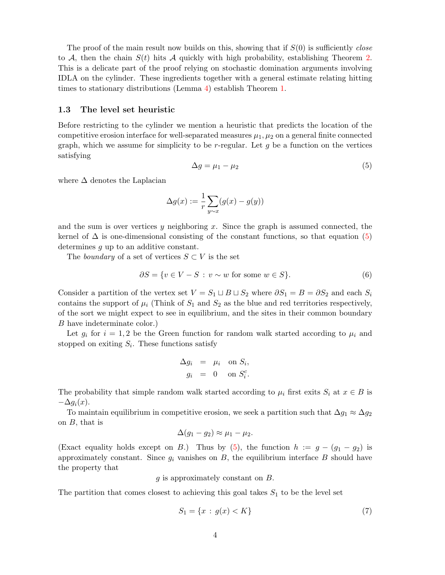The proof of the main result now builds on this, showing that if  $S(0)$  is sufficiently close to A, then the chain  $S(t)$  hits A quickly with high probability, establishing Theorem [2.](#page-2-1) This is a delicate part of the proof relying on stochastic domination arguments involving IDLA on the cylinder. These ingredients together with a general estimate relating hitting times to stationary distributions (Lemma [4\)](#page-10-0) establish Theorem [1.](#page-1-1)

#### <span id="page-3-1"></span>1.3 The level set heuristic

Before restricting to the cylinder we mention a heuristic that predicts the location of the competitive erosion interface for well-separated measures  $\mu_1, \mu_2$  on a general finite connected graph, which we assume for simplicity to be r-regular. Let  $g$  be a function on the vertices satisfying

<span id="page-3-0"></span>
$$
\Delta g = \mu_1 - \mu_2 \tag{5}
$$

where  $\Delta$  denotes the Laplacian

$$
\Delta g(x) := \frac{1}{r} \sum_{y \sim x} (g(x) - g(y))
$$

and the sum is over vertices y neighboring x. Since the graph is assumed connected, the kernel of  $\Delta$  is one-dimensional consisting of the constant functions, so that equation [\(5\)](#page-3-0) determines g up to an additive constant.

The boundary of a set of vertices  $S \subset V$  is the set

<span id="page-3-2"></span>
$$
\partial S = \{ v \in V - S : v \sim w \text{ for some } w \in S \}. \tag{6}
$$

Consider a partition of the vertex set  $V = S_1 \sqcup B \sqcup S_2$  where  $\partial S_1 = B = \partial S_2$  and each  $S_i$ contains the support of  $\mu_i$  (Think of  $S_1$  and  $S_2$  as the blue and red territories respectively, of the sort we might expect to see in equilibrium, and the sites in their common boundary B have indeterminate color.)

Let  $g_i$  for  $i = 1, 2$  be the Green function for random walk started according to  $\mu_i$  and stopped on exiting  $S_i$ . These functions satisfy

$$
\Delta g_i = \mu_i \text{ on } S_i,
$$
  

$$
g_i = 0 \text{ on } S_i^c.
$$

The probability that simple random walk started according to  $\mu_i$  first exits  $S_i$  at  $x \in B$  is  $-\Delta q_i(x)$ .

To maintain equilibrium in competitive erosion, we seek a partition such that  $\Delta g_1 \approx \Delta g_2$ on B, that is

$$
\Delta(g_1-g_2)\approx \mu_1-\mu_2.
$$

(Exact equality holds except on B.) Thus by [\(5\)](#page-3-0), the function  $h := g - (g_1 - g_2)$  is approximately constant. Since  $g_i$  vanishes on  $B$ , the equilibrium interface  $B$  should have the property that

g is approximately constant on B.

The partition that comes closest to achieving this goal takes  $S_1$  to be the level set

<span id="page-3-3"></span>
$$
S_1 = \{x : g(x) < K\} \tag{7}
$$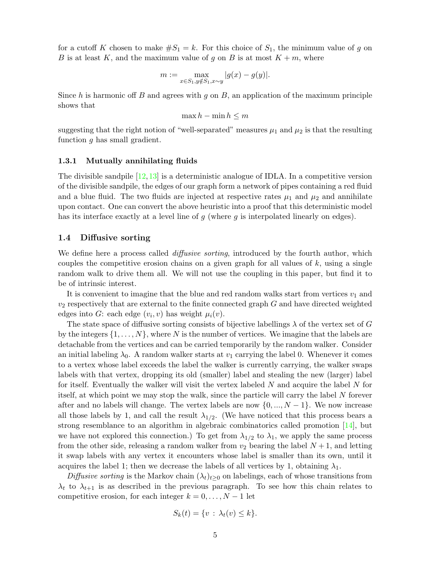for a cutoff K chosen to make  $\#S_1 = k$ . For this choice of  $S_1$ , the minimum value of g on B is at least K, and the maximum value of g on B is at most  $K + m$ , where

$$
m := \max_{x \in S_1, y \notin S_1, x \sim y} |g(x) - g(y)|.
$$

Since h is harmonic off B and agrees with  $g$  on  $B$ , an application of the maximum principle shows that

$$
\max h - \min h \le m
$$

suggesting that the right notion of "well-separated" measures  $\mu_1$  and  $\mu_2$  is that the resulting function  $g$  has small gradient.

#### 1.3.1 Mutually annihilating fluids

The divisible sandpile  $[12,13]$  $[12,13]$  is a deterministic analogue of IDLA. In a competitive version of the divisible sandpile, the edges of our graph form a network of pipes containing a red fluid and a blue fluid. The two fluids are injected at respective rates  $\mu_1$  and  $\mu_2$  and annihilate upon contact. One can convert the above heuristic into a proof that this deterministic model has its interface exactly at a level line of g (where g is interpolated linearly on edges).

#### 1.4 Diffusive sorting

We define here a process called *diffusive sorting*, introduced by the fourth author, which couples the competitive erosion chains on a given graph for all values of  $k$ , using a single random walk to drive them all. We will not use the coupling in this paper, but find it to be of intrinsic interest.

It is convenient to imagine that the blue and red random walks start from vertices  $v_1$  and  $v_2$  respectively that are external to the finite connected graph  $G$  and have directed weighted edges into G: each edge  $(v_i, v)$  has weight  $\mu_i(v)$ .

The state space of diffusive sorting consists of bijective labellings  $\lambda$  of the vertex set of G by the integers  $\{1, \ldots, N\}$ , where N is the number of vertices. We imagine that the labels are detachable from the vertices and can be carried temporarily by the random walker. Consider an initial labeling  $\lambda_0$ . A random walker starts at  $v_1$  carrying the label 0. Whenever it comes to a vertex whose label exceeds the label the walker is currently carrying, the walker swaps labels with that vertex, dropping its old (smaller) label and stealing the new (larger) label for itself. Eventually the walker will visit the vertex labeled  $N$  and acquire the label  $N$  for itself, at which point we may stop the walk, since the particle will carry the label N forever after and no labels will change. The vertex labels are now  $\{0, ..., N-1\}$ . We now increase all those labels by 1, and call the result  $\lambda_{1/2}$ . (We have noticed that this process bears a strong resemblance to an algorithm in algebraic combinatorics called promotion  $[14]$ , but we have not explored this connection.) To get from  $\lambda_{1/2}$  to  $\lambda_1$ , we apply the same process from the other side, releasing a random walker from  $v_2$  bearing the label  $N+1$ , and letting it swap labels with any vertex it encounters whose label is smaller than its own, until it acquires the label 1; then we decrease the labels of all vertices by 1, obtaining  $\lambda_1$ .

Diffusive sorting is the Markov chain  $(\lambda_t)_{t>0}$  on labelings, each of whose transitions from  $\lambda_t$  to  $\lambda_{t+1}$  is as described in the previous paragraph. To see how this chain relates to competitive erosion, for each integer  $k = 0, \ldots, N - 1$  let

$$
S_k(t) = \{v : \lambda_t(v) \le k\}.
$$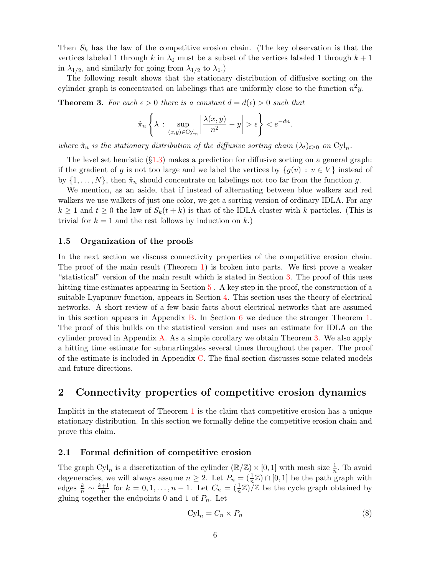Then  $S_k$  has the law of the competitive erosion chain. (The key observation is that the vertices labeled 1 through k in  $\lambda_0$  must be a subset of the vertices labeled 1 through  $k+1$ in  $\lambda_{1/2}$ , and similarly for going from  $\lambda_{1/2}$  to  $\lambda_1$ .)

The following result shows that the stationary distribution of diffusive sorting on the cylinder graph is concentrated on labelings that are uniformly close to the function  $n^2y$ .

<span id="page-5-0"></span>**Theorem 3.** For each  $\epsilon > 0$  there is a constant  $d = d(\epsilon) > 0$  such that

$$
\hat{\pi}_n \left\{ \lambda : \sup_{(x,y)\in\text{Cyl}_n} \left| \frac{\lambda(x,y)}{n^2} - y \right| > \epsilon \right\} < e^{-dn}.
$$

where  $\hat{\pi}_n$  is the stationary distribution of the diffusive sorting chain  $(\lambda_t)_{t\geq 0}$  on  $\text{Cyl}_n$ .

The level set heuristic  $(\S1.3)$  $(\S1.3)$  makes a prediction for diffusive sorting on a general graph: if the gradient of g is not too large and we label the vertices by  $\{g(v): v \in V\}$  instead of by  $\{1,\ldots,N\}$ , then  $\hat{\pi}_n$  should concentrate on labelings not too far from the function g.

We mention, as an aside, that if instead of alternating between blue walkers and red walkers we use walkers of just one color, we get a sorting version of ordinary IDLA. For any  $k \geq 1$  and  $t \geq 0$  the law of  $S_k(t + k)$  is that of the IDLA cluster with k particles. (This is trivial for  $k = 1$  and the rest follows by induction on k.)

#### 1.5 Organization of the proofs

In the next section we discuss connectivity properties of the competitive erosion chain. The proof of the main result (Theorem [1\)](#page-1-1) is broken into parts. We first prove a weaker "statistical" version of the main result which is stated in Section [3.](#page-8-1) The proof of this uses hitting time estimates appearing in Section [5](#page-25-0). A key step in the proof, the construction of a suitable Lyapunov function, appears in Section [4.](#page-12-1) This section uses the theory of electrical networks. A short review of a few basic facts about electrical networks that are assumed in this section appears in Appendix [B.](#page-40-0) In Section [6](#page-27-0) we deduce the stronger Theorem [1.](#page-1-1) The proof of this builds on the statistical version and uses an estimate for IDLA on the cylinder proved in Appendix [A.](#page-35-0) As a simple corollary we obtain Theorem [3.](#page-5-0) We also apply a hitting time estimate for submartingales several times throughout the paper. The proof of the estimate is included in Appendix [C.](#page-43-0) The final section discusses some related models and future directions.

# 2 Connectivity properties of competitive erosion dynamics

Implicit in the statement of Theorem [1](#page-1-1) is the claim that competitive erosion has a unique stationary distribution. In this section we formally define the competitive erosion chain and prove this claim.

#### 2.1 Formal definition of competitive erosion

The graph Cyl<sub>n</sub> is a discretization of the cylinder  $(\mathbb{R}/\mathbb{Z}) \times [0,1]$  with mesh size  $\frac{1}{n}$ . To avoid degeneracies, we will always assume  $n \geq 2$ . Let  $P_n = (\frac{1}{n}\mathbb{Z}) \cap [0,1]$  be the path graph with edges  $\frac{k}{n} \sim \frac{k+1}{n}$  $\frac{+1}{n}$  for  $k = 0, 1, \ldots, n - 1$ . Let  $C_n = \left(\frac{1}{n}\mathbb{Z}\right)/\mathbb{Z}$  be the cycle graph obtained by gluing together the endpoints 0 and 1 of  $P_n$ . Let

<span id="page-5-1"></span>
$$
Cyl_n = C_n \times P_n \tag{8}
$$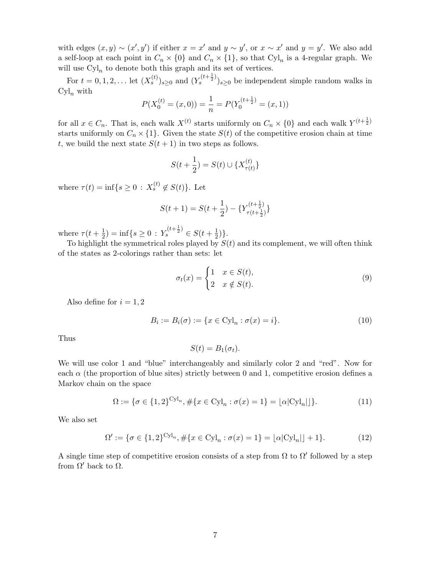with edges  $(x, y) \sim (x', y')$  if either  $x = x'$  and  $y \sim y'$ , or  $x \sim x'$  and  $y = y'$ . We also add a self-loop at each point in  $C_n \times \{0\}$  and  $C_n \times \{1\}$ , so that  $\text{Cyl}_n$  is a 4-regular graph. We will use  $\text{Cyl}_n$  to denote both this graph and its set of vertices.

For  $t = 0, 1, 2, ...$  let  $(X_s^{(t)})_{s \geq 0}$  and  $(Y_s^{(t + \frac{1}{2})})_{s \geq 0}$  be independent simple random walks in  $Cyl_n$  with

$$
P(X_0^{(t)} = (x, 0)) = \frac{1}{n} = P(Y_0^{(t + \frac{1}{2})} = (x, 1))
$$

for all  $x \in C_n$ . That is, each walk  $X^{(t)}$  starts uniformly on  $C_n \times \{0\}$  and each walk  $Y^{(t+\frac{1}{2})}$ starts uniformly on  $C_n \times \{1\}$ . Given the state  $S(t)$  of the competitive erosion chain at time t, we build the next state  $S(t + 1)$  in two steps as follows.

$$
S(t + \frac{1}{2}) = S(t) \cup \{X_{\tau(t)}^{(t)}\}
$$

where  $\tau(t) = \inf\{s \ge 0 : X_s^{(t)} \notin S(t)\}.$  Let

$$
S(t+1) = S(t+\frac{1}{2}) - \{Y_{\tau(t+\frac{1}{2})}^{(t+\frac{1}{2})}\}
$$

where  $\tau(t+\frac{1}{2})$  $(\frac{1}{2}) = \inf\{s \geq 0 : Y_s^{(t+\frac{1}{2})} \in S(t+\frac{1}{2})\}$  $(\frac{1}{2})\}.$ 

To highlight the symmetrical roles played by  $S(t)$  and its complement, we will often think of the states as 2-colorings rather than sets: let

<span id="page-6-3"></span>
$$
\sigma_t(x) = \begin{cases} 1 & x \in S(t), \\ 2 & x \notin S(t). \end{cases} \tag{9}
$$

Also define for  $i = 1, 2$ 

<span id="page-6-2"></span>
$$
B_i := B_i(\sigma) := \{ x \in \text{Cyl}_n : \sigma(x) = i \}. \tag{10}
$$

Thus

$$
S(t) = B_1(\sigma_t).
$$

We will use color 1 and "blue" interchangeably and similarly color 2 and "red". Now for each  $\alpha$  (the proportion of blue sites) strictly between 0 and 1, competitive erosion defines a Markov chain on the space

<span id="page-6-0"></span>
$$
\Omega := \{ \sigma \in \{1, 2\}^{\text{Cyl}_n}, \# \{ x \in \text{Cyl}_n : \sigma(x) = 1 \} = \lfloor \alpha |\text{Cyl}_n| \rfloor \}. \tag{11}
$$

We also set

<span id="page-6-1"></span>
$$
\Omega' := \{ \sigma \in \{1, 2\}^{\text{Cyl}_n}, \# \{ x \in \text{Cyl}_n : \sigma(x) = 1 \} = \lfloor \alpha |\text{Cyl}_n| \rfloor + 1 \}. \tag{12}
$$

A single time step of competitive erosion consists of a step from  $\Omega$  to  $\Omega'$  followed by a step from  $\Omega'$  back to  $\Omega$ .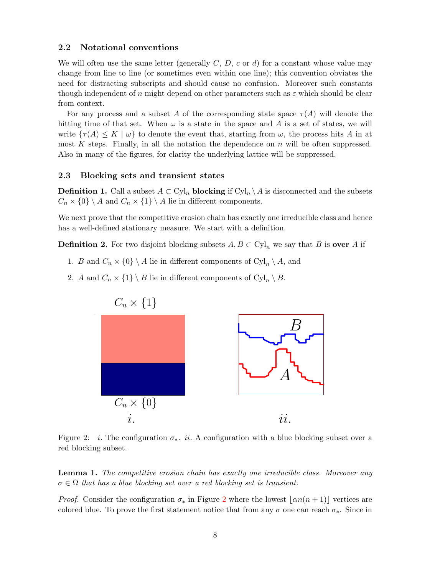#### <span id="page-7-1"></span>2.2 Notational conventions

We will often use the same letter (generally  $C, D, c$  or d) for a constant whose value may change from line to line (or sometimes even within one line); this convention obviates the need for distracting subscripts and should cause no confusion. Moreover such constants though independent of n might depend on other parameters such as  $\varepsilon$  which should be clear from context.

For any process and a subset A of the corresponding state space  $\tau(A)$  will denote the hitting time of that set. When  $\omega$  is a state in the space and A is a set of states, we will write  $\{\tau(A) \leq K \mid \omega\}$  to denote the event that, starting from  $\omega$ , the process hits A in at most K steps. Finally, in all the notation the dependence on  $n$  will be often suppressed. Also in many of the figures, for clarity the underlying lattice will be suppressed.

#### 2.3 Blocking sets and transient states

**Definition 1.** Call a subset  $A \subset Cyl_n$  blocking if  $Cyl_n \setminus A$  is disconnected and the subsets  $C_n \times \{0\} \setminus A$  and  $C_n \times \{1\} \setminus A$  lie in different components.

We next prove that the competitive erosion chain has exactly one irreducible class and hence has a well-defined stationary measure. We start with a definition.

**Definition 2.** For two disjoint blocking subsets  $A, B \subset \mathrm{Cyl}_n$  we say that B is **over** A if

- 1. B and  $C_n \times \{0\} \setminus A$  lie in different components of  $Cyl_n \setminus A$ , and
- 2. A and  $C_n \times \{1\} \setminus B$  lie in different components of  $Cyl_n \setminus B$ .



<span id="page-7-0"></span>Figure 2: *i*. The configuration  $\sigma_*$ . *ii*. A configuration with a blue blocking subset over a red blocking subset.

**Lemma 1.** The competitive erosion chain has exactly one irreducible class. Moreover any  $\sigma \in \Omega$  that has a blue blocking set over a red blocking set is transient.

*Proof.* Consider the configuration  $\sigma_*$  in Figure [2](#page-7-0) where the lowest  $|\alpha n(n + 1)|$  vertices are colored blue. To prove the first statement notice that from any  $\sigma$  one can reach  $\sigma_*$ . Since in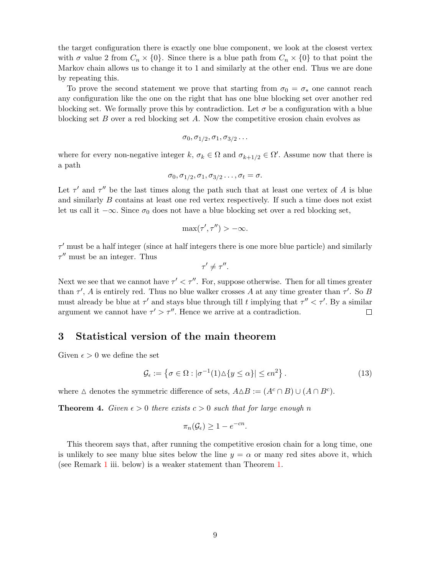the target configuration there is exactly one blue component, we look at the closest vertex with  $\sigma$  value 2 from  $C_n \times \{0\}$ . Since there is a blue path from  $C_n \times \{0\}$  to that point the Markov chain allows us to change it to 1 and similarly at the other end. Thus we are done by repeating this.

To prove the second statement we prove that starting from  $\sigma_0 = \sigma_*$  one cannot reach any configuration like the one on the right that has one blue blocking set over another red blocking set. We formally prove this by contradiction. Let  $\sigma$  be a configuration with a blue blocking set  $B$  over a red blocking set  $A$ . Now the competitive erosion chain evolves as

$$
\sigma_0, \sigma_{1/2}, \sigma_1, \sigma_{3/2} \ldots
$$

where for every non-negative integer  $k, \sigma_k \in \Omega$  and  $\sigma_{k+1/2} \in \Omega'$ . Assume now that there is a path

$$
\sigma_0, \sigma_{1/2}, \sigma_1, \sigma_{3/2} \ldots, \sigma_t = \sigma.
$$

Let  $\tau'$  and  $\tau''$  be the last times along the path such that at least one vertex of A is blue and similarly B contains at least one red vertex respectively. If such a time does not exist let us call it  $-\infty$ . Since  $\sigma_0$  does not have a blue blocking set over a red blocking set,

$$
\max(\tau', \tau'') > -\infty.
$$

 $\tau'$  must be a half integer (since at half integers there is one more blue particle) and similarly  $\tau''$  must be an integer. Thus

$$
\tau' \neq \tau''.
$$

Next we see that we cannot have  $\tau' < \tau''$ . For, suppose otherwise. Then for all times greater than  $\tau'$ , A is entirely red. Thus no blue walker crosses A at any time greater than  $\tau'$ . So B must already be blue at  $\tau'$  and stays blue through till t implying that  $\tau'' < \tau'$ . By a similar argument we cannot have  $\tau' > \tau''$ . Hence we arrive at a contradiction.  $\Box$ 

### <span id="page-8-1"></span>3 Statistical version of the main theorem

Given  $\epsilon > 0$  we define the set

<span id="page-8-2"></span>
$$
\mathcal{G}_{\epsilon} := \left\{ \sigma \in \Omega : |\sigma^{-1}(1) \Delta \{ y \le \alpha \} | \le \epsilon n^2 \right\}.
$$
\n(13)

where  $\Delta$  denotes the symmetric difference of sets,  $A \Delta B := (A^c \cap B) \cup (A \cap B^c)$ .

<span id="page-8-0"></span>**Theorem 4.** Given  $\epsilon > 0$  there exists  $c > 0$  such that for large enough n

$$
\pi_n(\mathcal{G}_{\epsilon}) \ge 1 - e^{-cn}.
$$

This theorem says that, after running the competitive erosion chain for a long time, one is unlikely to see many blue sites below the line  $y = \alpha$  or many red sites above it, which (see Remark [1](#page-9-0) iii. below) is a weaker statement than Theorem [1.](#page-1-1)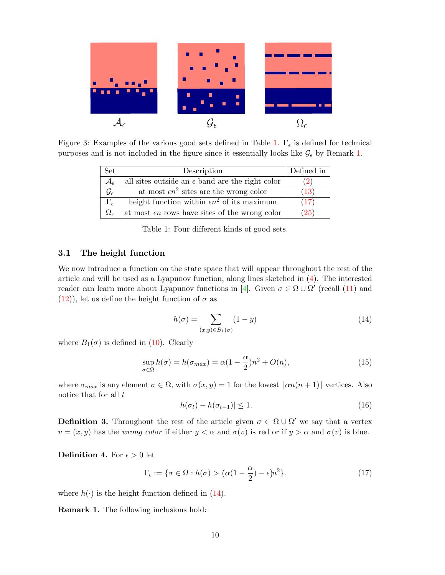

Figure 3: Examples of the various good sets defined in Table [1.](#page-9-1)  $\Gamma_{\epsilon}$  is defined for technical purposes and is not included in the figure since it essentially looks like  $\mathcal{G}_{\epsilon}$  by Remark [1.](#page-9-0)

| $\operatorname{Set}$     | Description                                               | Defined in    |
|--------------------------|-----------------------------------------------------------|---------------|
| $\mathcal{A}_{\epsilon}$ | all sites outside an $\epsilon$ -band are the right color | <sup>2)</sup> |
| $\mathcal{G}_{\epsilon}$ | at most $\epsilon n^2$ sites are the wrong color          | (13)          |
| $\Gamma_{\epsilon}$      | height function within $\epsilon n^2$ of its maximum      | (17)          |
|                          | at most $\epsilon n$ rows have sites of the wrong color   | (25)          |

<span id="page-9-1"></span>Table 1: Four different kinds of good sets.

### 3.1 The height function

We now introduce a function on the state space that will appear throughout the rest of the article and will be used as a Lyapunov function, along lines sketched in [\(4\)](#page-2-0). The interested reader can learn more about Lyapunov functions in [\[4\]](#page-46-9). Given  $\sigma \in \Omega \cup \Omega'$  (recall [\(11\)](#page-6-0) and  $(12)$ , let us define the height function of  $\sigma$  as

<span id="page-9-3"></span>
$$
h(\sigma) = \sum_{(x,y)\in B_1(\sigma)} (1-y)
$$
\n(14)

where  $B_1(\sigma)$  is defined in [\(10\)](#page-6-2). Clearly

<span id="page-9-4"></span>
$$
\sup_{\sigma \in \Omega} h(\sigma) = h(\sigma_{max}) = \alpha (1 - \frac{\alpha}{2}) n^2 + O(n), \tag{15}
$$

where  $\sigma_{max}$  is any element  $\sigma \in \Omega$ , with  $\sigma(x, y) = 1$  for the lowest  $\lfloor \alpha n(n + 1) \rfloor$  vertices. Also notice that for all  $t$ 

<span id="page-9-5"></span>
$$
|h(\sigma_t) - h(\sigma_{t-1})| \le 1. \tag{16}
$$

**Definition 3.** Throughout the rest of the article given  $\sigma \in \Omega \cup \Omega'$  we say that a vertex  $v = (x, y)$  has the *wrong color* if either  $y < \alpha$  and  $\sigma(v)$  is red or if  $y > \alpha$  and  $\sigma(v)$  is blue.

**Definition 4.** For  $\epsilon > 0$  let

<span id="page-9-2"></span>
$$
\Gamma_{\epsilon} := \{ \sigma \in \Omega : h(\sigma) > \left( \alpha (1 - \frac{\alpha}{2}) - \epsilon \right) n^2 \}.
$$
 (17)

where  $h(\cdot)$  is the height function defined in [\(14\)](#page-9-3).

<span id="page-9-0"></span>Remark 1. The following inclusions hold: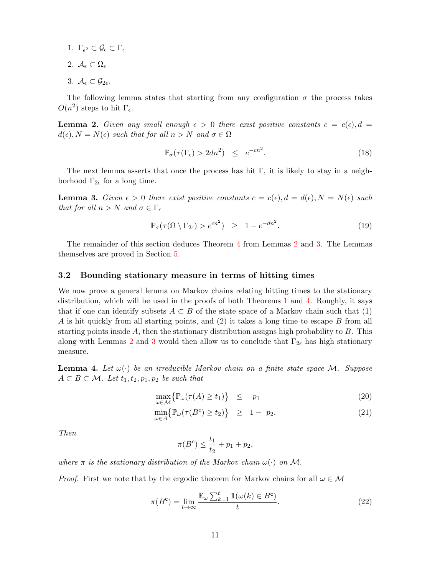- 1.  $\Gamma_{\epsilon^2} \subset \mathcal{G}_{\epsilon} \subset \Gamma_{\epsilon}$
- 2.  $\mathcal{A}_{\epsilon} \subset \Omega_{\epsilon}$
- 3.  $\mathcal{A}_{\epsilon} \subset \mathcal{G}_{2\epsilon}$ .

The following lemma states that starting from any configuration  $\sigma$  the process takes  $O(n^2)$  steps to hit  $\Gamma_{\epsilon}$ .

<span id="page-10-1"></span>**Lemma 2.** Given any small enough  $\epsilon > 0$  there exist positive constants  $c = c(\epsilon)$ ,  $d =$  $d(\epsilon)$ ,  $N = N(\epsilon)$  such that for all  $n > N$  and  $\sigma \in \Omega$ 

$$
\mathbb{P}_{\sigma}(\tau(\Gamma_{\epsilon}) > 2dn^2) \leq e^{-cn^2}.
$$
\n(18)

The next lemma asserts that once the process has hit  $\Gamma_{\epsilon}$  it is likely to stay in a neighborhood  $\Gamma_{2\epsilon}$  for a long time.

<span id="page-10-2"></span>**Lemma 3.** Given  $\epsilon > 0$  there exist positive constants  $c = c(\epsilon)$ ,  $d = d(\epsilon)$ ,  $N = N(\epsilon)$  such that for all  $n > N$  and  $\sigma \in \Gamma_{\epsilon}$ 

$$
\mathbb{P}_{\sigma}(\tau(\Omega \setminus \Gamma_{2\epsilon}) > e^{cn^2}) \geq 1 - e^{-dn^2}.
$$
 (19)

The remainder of this section deduces Theorem [4](#page-8-0) from Lemmas [2](#page-10-1) and [3.](#page-10-2) The Lemmas themselves are proved in Section [5.](#page-25-0)

#### 3.2 Bounding stationary measure in terms of hitting times

We now prove a general lemma on Markov chains relating hitting times to the stationary distribution, which will be used in the proofs of both Theorems [1](#page-1-1) and [4.](#page-8-0) Roughly, it says that if one can identify subsets  $A \subset B$  of the state space of a Markov chain such that (1) A is hit quickly from all starting points, and (2) it takes a long time to escape B from all starting points inside  $A$ , then the stationary distribution assigns high probability to  $B$ . This along with Lemmas [2](#page-10-1) and [3](#page-10-2) would then allow us to conclude that  $\Gamma_{2\epsilon}$  has high stationary measure.

<span id="page-10-0"></span>**Lemma 4.** Let  $\omega(\cdot)$  be an irreducible Markov chain on a finite state space M. Suppose  $A \subset B \subset \mathcal{M}$ . Let  $t_1, t_2, p_1, p_2$  be such that

<span id="page-10-4"></span>
$$
\max_{\omega \in \mathcal{M}} \{ \mathbb{P}_{\omega}(\tau(A) \ge t_1) \} \le p_1 \tag{20}
$$

$$
\min_{\omega \in A} \{ \mathbb{P}_{\omega}(\tau(B^c) \ge t_2) \} \ge 1 - p_2. \tag{21}
$$

Then

$$
\pi(B^c) \le \frac{t_1}{t_2} + p_1 + p_2,
$$

where  $\pi$  is the stationary distribution of the Markov chain  $\omega(\cdot)$  on M.

*Proof.* First we note that by the ergodic theorem for Markov chains for all  $\omega \in \mathcal{M}$ 

<span id="page-10-3"></span>
$$
\pi(B^c) = \lim_{t \to \infty} \frac{\mathbb{E}_{\omega} \sum_{k=1}^t \mathbf{1}(\omega(k) \in B^c)}{t}.
$$
\n(22)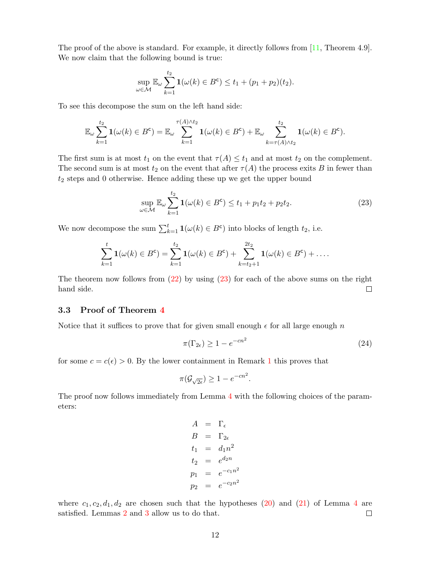The proof of the above is standard. For example, it directly follows from [\[11,](#page-46-10) Theorem 4.9]. We now claim that the following bound is true:

$$
\sup_{\omega \in \mathcal{M}} \mathbb{E}_{\omega} \sum_{k=1}^{t_2} \mathbf{1}(\omega(k) \in B^c) \le t_1 + (p_1 + p_2)(t_2).
$$

To see this decompose the sum on the left hand side:

$$
\mathbb{E}_{\omega}\sum_{k=1}^{t_2}\mathbf{1}(\omega(k)\in B^c)=\mathbb{E}_{\omega}\sum_{k=1}^{\tau(A)\wedge t_2}\mathbf{1}(\omega(k)\in B^c)+\mathbb{E}_{\omega}\sum_{k=\tau(A)\wedge t_2}^{t_2}\mathbf{1}(\omega(k)\in B^c).
$$

The first sum is at most  $t_1$  on the event that  $\tau(A) \leq t_1$  and at most  $t_2$  on the complement. The second sum is at most  $t_2$  on the event that after  $\tau(A)$  the process exits B in fewer than  $t_2$  steps and 0 otherwise. Hence adding these up we get the upper bound

<span id="page-11-0"></span>
$$
\sup_{\omega \in \mathcal{M}} \mathbb{E}_{\omega} \sum_{k=1}^{t_2} \mathbf{1}(\omega(k) \in B^c) \le t_1 + p_1 t_2 + p_2 t_2. \tag{23}
$$

We now decompose the sum  $\sum_{k=1}^{t} \mathbf{1}(\omega(k) \in B^c)$  into blocks of length  $t_2$ , i.e.

$$
\sum_{k=1}^{t} \mathbf{1}(\omega(k) \in B^c) = \sum_{k=1}^{t_2} \mathbf{1}(\omega(k) \in B^c) + \sum_{k=t_2+1}^{2t_2} \mathbf{1}(\omega(k) \in B^c) + \dots
$$

The theorem now follows from  $(22)$  by using  $(23)$  for each of the above sums on the right hand side.  $\Box$ 

### 3.3 Proof of Theorem [4](#page-8-0)

Notice that it suffices to prove that for given small enough  $\epsilon$  for all large enough n

$$
\pi(\Gamma_{2\epsilon}) \ge 1 - e^{-cn^2} \tag{24}
$$

.

for some  $c = c(\epsilon) > 0$ . By the lower containment in Remark [1](#page-9-0) this proves that

$$
\pi(\mathcal{G}_{\sqrt{2\epsilon}}) \ge 1 - e^{-cn^2}
$$

The proof now follows immediately from Lemma [4](#page-10-0) with the following choices of the parameters:

$$
A = \Gamma_{\epsilon}
$$
  
\n
$$
B = \Gamma_{2\epsilon}
$$
  
\n
$$
t_1 = d_1 n^2
$$
  
\n
$$
t_2 = e^{d_2 n}
$$
  
\n
$$
p_1 = e^{-c_1 n^2}
$$
  
\n
$$
p_2 = e^{-c_2 n^2}
$$

where  $c_1, c_2, d_1, d_2$  are chosen such that the hypotheses [\(20\)](#page-10-4) and [\(21\)](#page-10-4) of Lemma [4](#page-10-0) are satisfied. Lemmas [2](#page-10-1) and [3](#page-10-2) allow us to do that.  $\Box$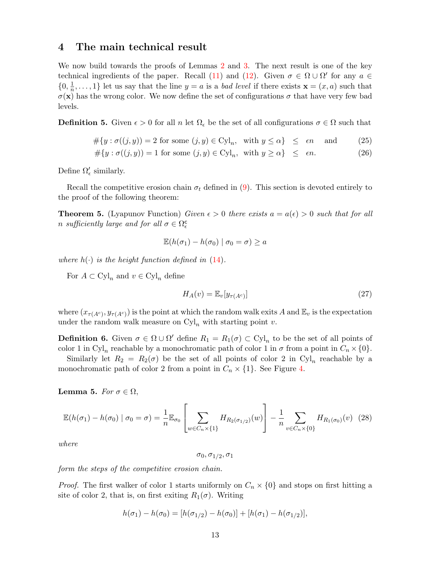### <span id="page-12-1"></span>4 The main technical result

We now build towards the proofs of Lemmas [2](#page-10-1) and [3.](#page-10-2) The next result is one of the key technical ingredients of the paper. Recall [\(11\)](#page-6-0) and [\(12\)](#page-6-1). Given  $\sigma \in \Omega \cup \Omega'$  for any  $a \in$  $\{0, \frac{1}{n}\}$  $\frac{1}{n}, \ldots, 1$  let us say that the line  $y = a$  is a *bad level* if there exists  $\mathbf{x} = (x, a)$  such that  $\sigma(\mathbf{x})$  has the wrong color. We now define the set of configurations  $\sigma$  that have very few bad levels.

**Definition 5.** Given  $\epsilon > 0$  for all n let  $\Omega_{\epsilon}$  be the set of all configurations  $\sigma \in \Omega$  such that

<span id="page-12-2"></span>
$$
\#\{y : \sigma((j, y)) = 2 \text{ for some } (j, y) \in \text{Cyl}_n, \text{ with } y \le \alpha\} \le \epsilon n \text{ and } (25)
$$
  

$$
\#\{y : \sigma((j, y)) = 1 \text{ for some } (j, y) \in \text{Cyl}_n, \text{ with } y \ge \alpha\} \le \epsilon n.
$$
 (26)

Define  $\Omega_\epsilon'$  similarly.

Recall the competitive erosion chain  $\sigma_t$  defined in [\(9\)](#page-6-3). This section is devoted entirely to the proof of the following theorem:

<span id="page-12-0"></span>**Theorem 5.** (Lyapunov Function) Given  $\epsilon > 0$  there exists  $a = a(\epsilon) > 0$  such that for all n sufficiently large and for all  $\sigma \in \Omega_{\epsilon}^{\mathsf{c}}$ 

$$
\mathbb{E}(h(\sigma_1) - h(\sigma_0) \mid \sigma_0 = \sigma) \ge a
$$

where  $h(\cdot)$  is the height function defined in [\(14\)](#page-9-3).

For  $A \subset \mathrm{Cyl}_n$  and  $v \in \mathrm{Cyl}_n$  define

<span id="page-12-6"></span>
$$
H_A(v) = \mathbb{E}_v[y_{\tau(A^c)}]
$$
\n(27)

where  $(x_{\tau(A^c)}, y_{\tau(A^c)})$  is the point at which the random walk exits A and  $\mathbb{E}_v$  is the expectation under the random walk measure on  $Cyl_n$  with starting point v.

<span id="page-12-3"></span>**Definition 6.** Given  $\sigma \in \Omega \cup \Omega'$  define  $R_1 = R_1(\sigma) \subset \mathrm{Cyl}_n$  to be the set of all points of color 1 in Cyl<sub>n</sub> reachable by a monochromatic path of color 1 in  $\sigma$  from a point in  $C_n \times \{0\}$ .

Similarly let  $R_2 = R_2(\sigma)$  be the set of all points of color 2 in Cyl<sub>n</sub> reachable by a monochromatic path of color 2 from a point in  $C_n \times \{1\}$ . See Figure [4.](#page-13-0)

<span id="page-12-5"></span>Lemma 5. For  $\sigma \in \Omega$ ,

$$
\mathbb{E}(h(\sigma_1) - h(\sigma_0) \mid \sigma_0 = \sigma) = \frac{1}{n} \mathbb{E}_{\sigma_0} \left[ \sum_{w \in C_n \times \{1\}} H_{R_2(\sigma_{1/2})}(w) \right] - \frac{1}{n} \sum_{v \in C_n \times \{0\}} H_{R_1(\sigma_0)}(v) \tag{28}
$$

where

<span id="page-12-4"></span>
$$
\sigma_0, \sigma_{1/2}, \sigma_1
$$

form the steps of the competitive erosion chain.

*Proof.* The first walker of color 1 starts uniformly on  $C_n \times \{0\}$  and stops on first hitting a site of color 2, that is, on first exiting  $R_1(\sigma)$ . Writing

$$
h(\sigma_1) - h(\sigma_0) = [h(\sigma_{1/2}) - h(\sigma_0)] + [h(\sigma_1) - h(\sigma_{1/2})],
$$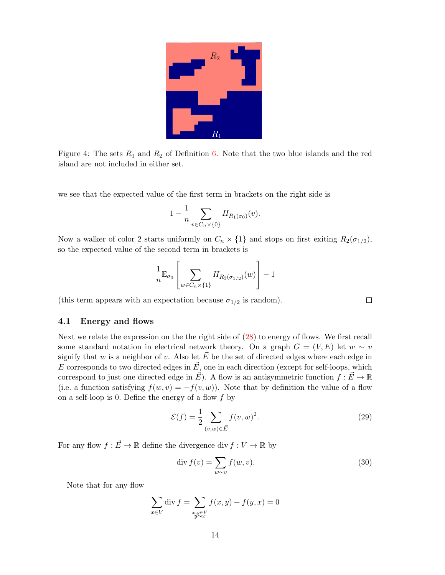

Figure 4: The sets  $R_1$  and  $R_2$  of Definition [6.](#page-12-3) Note that the two blue islands and the red island are not included in either set.

<span id="page-13-0"></span>we see that the expected value of the first term in brackets on the right side is

$$
1 - \frac{1}{n} \sum_{v \in C_n \times \{0\}} H_{R_1(\sigma_0)}(v).
$$

Now a walker of color 2 starts uniformly on  $C_n \times \{1\}$  and stops on first exiting  $R_2(\sigma_{1/2})$ , so the expected value of the second term in brackets is

$$
\frac{1}{n} \mathbb{E}_{\sigma_0} \left[ \sum_{w \in C_n \times \{1\}} H_{R_2(\sigma_{1/2})}(w) \right] - 1
$$

(this term appears with an expectation because  $\sigma_{1/2}$  is random).

#### <span id="page-13-1"></span>4.1 Energy and flows

Next we relate the expression on the the right side of [\(28\)](#page-12-4) to energy of flows. We first recall some standard notation in electrical network theory. On a graph  $G = (V, E)$  let  $w \sim v$ signify that w is a neighbor of v. Also let  $\vec{E}$  be the set of directed edges where each edge in E corresponds to two directed edges in  $\vec{E}$ , one in each direction (except for self-loops, which correspond to just one directed edge in  $\vec{E}$ ). A flow is an antisymmetric function  $f : \vec{E} \to \mathbb{R}$ (i.e. a function satisfying  $f(w, v) = -f(v, w)$ ). Note that by definition the value of a flow on a self-loop is 0. Define the energy of a flow  $f$  by

$$
\mathcal{E}(f) = \frac{1}{2} \sum_{(v,w) \in \vec{E}} f(v,w)^2.
$$
 (29)

 $\Box$ 

For any flow  $f : \vec{E} \to \mathbb{R}$  define the divergence div  $f : V \to \mathbb{R}$  by

<span id="page-13-2"></span>
$$
\operatorname{div} f(v) = \sum_{w \sim v} f(w, v). \tag{30}
$$

Note that for any flow

$$
\sum_{x \in V} \operatorname{div} f = \sum_{\substack{x, y \in V \\ y \sim x}} f(x, y) + f(y, x) = 0
$$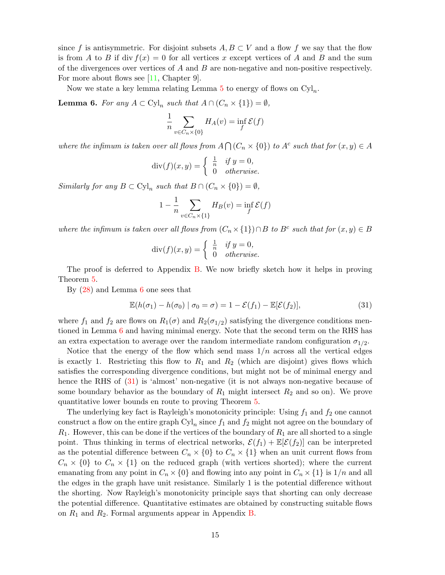since f is antisymmetric. For disjoint subsets  $A, B \subset V$  and a flow f we say that the flow is from A to B if div  $f(x) = 0$  for all vertices x except vertices of A and B and the sum of the divergences over vertices of  $A$  and  $B$  are non-negative and non-positive respectively. For more about flows see [\[11,](#page-46-10) Chapter 9].

Now we state a key lemma relating Lemma  $5$  to energy of flows on  $\text{Cyl}_n$ .

<span id="page-14-0"></span>**Lemma 6.** For any  $A \subset \text{Cyl}_n$  such that  $A \cap (C_n \times \{1\}) = \emptyset$ ,

$$
\frac{1}{n} \sum_{v \in C_n \times \{0\}} H_A(v) = \inf_f \mathcal{E}(f)
$$

where the infimum is taken over all flows from  $A \bigcap (C_n \times \{0\})$  to  $A^c$  such that for  $(x, y) \in A$ 

$$
\operatorname{div}(f)(x,y) = \begin{cases} \frac{1}{n} & \text{if } y = 0, \\ 0 & \text{otherwise.} \end{cases}
$$

Similarly for any  $B \subset \mathrm{Cyl}_n$  such that  $B \cap (C_n \times \{0\}) = \emptyset$ ,

$$
1 - \frac{1}{n} \sum_{v \in C_n \times \{1\}} H_B(v) = \inf_f \mathcal{E}(f)
$$

where the infimum is taken over all flows from  $(C_n \times \{1\}) \cap B$  to  $B^c$  such that for  $(x, y) \in B$ 

$$
\operatorname{div}(f)(x,y) = \begin{cases} \frac{1}{n} & \text{if } y = 0, \\ 0 & \text{otherwise.} \end{cases}
$$

The proof is deferred to Appendix [B.](#page-40-0) We now briefly sketch how it helps in proving Theorem [5.](#page-12-0)

By [\(28\)](#page-12-4) and Lemma [6](#page-14-0) one sees that

<span id="page-14-1"></span>
$$
\mathbb{E}(h(\sigma_1) - h(\sigma_0) \mid \sigma_0 = \sigma) = 1 - \mathcal{E}(f_1) - \mathbb{E}[\mathcal{E}(f_2)],\tag{31}
$$

where  $f_1$  and  $f_2$  are flows on  $R_1(\sigma)$  and  $R_2(\sigma_{1/2})$  satisfying the divergence conditions mentioned in Lemma [6](#page-14-0) and having minimal energy. Note that the second term on the RHS has an extra expectation to average over the random intermediate random configuration  $\sigma_{1/2}$ .

Notice that the energy of the flow which send mass  $1/n$  across all the vertical edges is exactly 1. Restricting this flow to  $R_1$  and  $R_2$  (which are disjoint) gives flows which satisfies the corresponding divergence conditions, but might not be of minimal energy and hence the RHS of  $(31)$  is 'almost' non-negative (it is not always non-negative because of some boundary behavior as the boundary of  $R_1$  might intersect  $R_2$  and so on). We prove quantitative lower bounds en route to proving Theorem [5.](#page-12-0)

The underlying key fact is Rayleigh's monotonicity principle: Using  $f_1$  and  $f_2$  one cannot construct a flow on the entire graph  $\mathrm{Cyl}_n$  since  $f_1$  and  $f_2$  might not agree on the boundary of  $R_1$ . However, this can be done if the vertices of the boundary of  $R_1$  are all shorted to a single point. Thus thinking in terms of electrical networks,  $\mathcal{E}(f_1) + \mathbb{E}[\mathcal{E}(f_2)]$  can be interpreted as the potential difference between  $C_n \times \{0\}$  to  $C_n \times \{1\}$  when an unit current flows from  $C_n \times \{0\}$  to  $C_n \times \{1\}$  on the reduced graph (with vertices shorted); where the current emanating from any point in  $C_n \times \{0\}$  and flowing into any point in  $C_n \times \{1\}$  is  $1/n$  and all the edges in the graph have unit resistance. Similarly 1 is the potential difference without the shorting. Now Rayleigh's monotonicity principle says that shorting can only decrease the potential difference. Quantitative estimates are obtained by constructing suitable flows on  $R_1$  and  $R_2$ . Formal arguments appear in Appendix [B.](#page-40-0)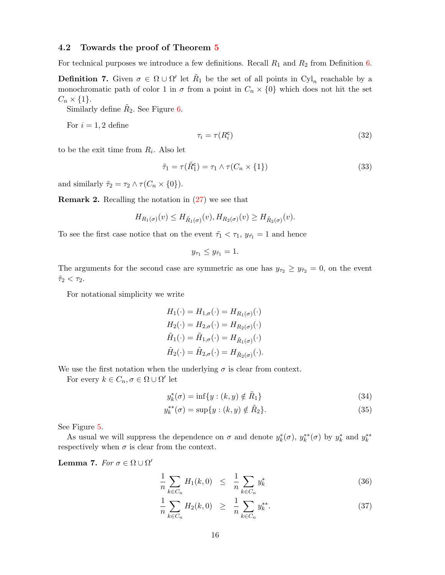#### 4.2 Towards the proof of Theorem [5](#page-12-0)

For technical purposes we introduce a few definitions. Recall  $R_1$  and  $R_2$  from Definition [6.](#page-12-3)

**Definition 7.** Given  $\sigma \in \Omega \cup \Omega'$  let  $\tilde{R}_1$  be the set of all points in  $Cyl_n$  reachable by a monochromatic path of color 1 in  $\sigma$  from a point in  $C_n \times \{0\}$  which does not hit the set  $C_n \times \{1\}.$ 

Similarly define  $\tilde{R}_2$ . See Figure [6.](#page-17-0)

For  $i = 1, 2$  define

$$
\tau_i = \tau(R_i^c) \tag{32}
$$

to be the exit time from  $R_i$ . Also let

$$
\tilde{\tau}_1 = \tau(\tilde{R}_1^c) = \tau_1 \wedge \tau(C_n \times \{1\})
$$
\n(33)

and similarly  $\tilde{\tau}_2 = \tau_2 \wedge \tau(C_n \times \{0\}).$ 

<span id="page-15-1"></span>**Remark 2.** Recalling the notation in  $(27)$  we see that

$$
H_{R_1(\sigma)}(v) \le H_{\tilde{R}_1(\sigma)}(v), H_{R_2(\sigma)}(v) \ge H_{\tilde{R}_2(\sigma)}(v).
$$

To see the first case notice that on the event  $\tilde{\tau}_1 < \tau_1$ ,  $y_{\tilde{\tau}_1} = 1$  and hence

$$
y_{\tau_1}\leq y_{\tilde{\tau}_1}=1.
$$

The arguments for the second case are symmetric as one has  $y_{\tau_2} \ge y_{\tilde{\tau}_2} = 0$ , on the event  $\tilde{\tau}_2 < \tau_2$ .

For notational simplicity we write

$$
H_1(\cdot) = H_{1,\sigma}(\cdot) = H_{R_1(\sigma)}(\cdot)
$$
  
\n
$$
H_2(\cdot) = H_{2,\sigma}(\cdot) = H_{R_2(\sigma)}(\cdot)
$$
  
\n
$$
\tilde{H}_1(\cdot) = \tilde{H}_{1,\sigma}(\cdot) = H_{\tilde{R}_1(\sigma)}(\cdot)
$$
  
\n
$$
\tilde{H}_2(\cdot) = \tilde{H}_{2,\sigma}(\cdot) = H_{\tilde{R}_2(\sigma)}(\cdot).
$$

We use the first notation when the underlying  $\sigma$  is clear from context.

For every  $k \in C_n$ ,  $\sigma \in \Omega \cup \Omega'$  let

<span id="page-15-4"></span><span id="page-15-3"></span>
$$
y_k^*(\sigma) = \inf\{y : (k, y) \notin \tilde{R}_1\}\tag{34}
$$

$$
y_k^{**}(\sigma) = \sup\{y : (k, y) \notin \tilde{R}_2\}.
$$
 (35)

See Figure [5.](#page-16-0)

As usual we will suppress the dependence on  $\sigma$  and denote  $y_k^*(\sigma)$ ,  $y_k^{**}(\sigma)$  by  $y_k^*$  and  $y_k^{**}$ respectively when  $\sigma$  is clear from the context.

<span id="page-15-2"></span>Lemma 7. For  $\sigma \in \Omega \cup \Omega'$ 

<span id="page-15-0"></span>
$$
\frac{1}{n} \sum_{k \in C_n} H_1(k,0) \leq \frac{1}{n} \sum_{k \in C_n} y_k^* \tag{36}
$$

$$
\frac{1}{n} \sum_{k \in C_n} H_2(k,0) \geq \frac{1}{n} \sum_{k \in C_n} y_k^{**}.
$$
\n(37)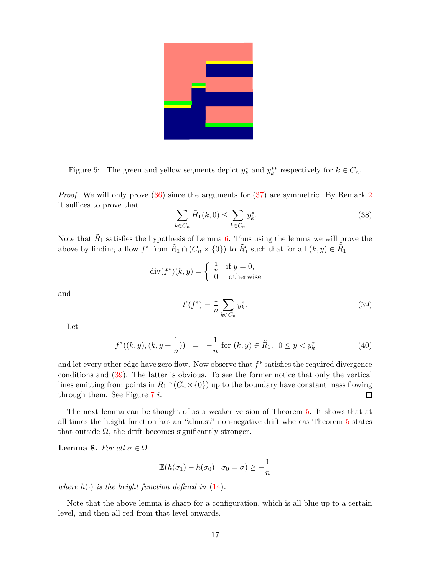

Figure 5: The green and yellow segments depict  $y_k^*$  and  $y_k^{**}$  respectively for  $k \in C_n$ .

<span id="page-16-0"></span>*Proof.* We will only prove  $(36)$  since the arguments for  $(37)$  are symmetric. By Remark [2](#page-15-1) it suffices to prove that

$$
\sum_{k \in C_n} \tilde{H}_1(k,0) \le \sum_{k \in C_n} y_k^*.
$$
\n
$$
(38)
$$

Note that  $\tilde{R}_1$  satisfies the hypothesis of Lemma [6.](#page-14-0) Thus using the lemma we will prove the above by finding a flow  $f^*$  from  $\tilde{R}_1 \cap (C_n \times \{0\})$  to  $\tilde{R}_1^c$  such that for all  $(k, y) \in \tilde{R}_1$ 

$$
\operatorname{div}(f^*)(k, y) = \begin{cases} \frac{1}{n} & \text{if } y = 0, \\ 0 & \text{otherwise} \end{cases}
$$

and

<span id="page-16-1"></span> $\mathcal{E}(f^*) = \frac{1}{n}$  $\sum$  $_{k\in C_n}$  $y_k^*$ . (39)

Let

$$
f^*((k, y), (k, y + \frac{1}{n})) = -\frac{1}{n} \text{ for } (k, y) \in \tilde{R}_1, \ 0 \le y < y_k^* \tag{40}
$$

and let every other edge have zero flow. Now observe that  $f^*$  satisfies the required divergence conditions and [\(39\)](#page-16-1). The latter is obvious. To see the former notice that only the vertical lines emitting from points in  $R_1 \cap (C_n \times \{0\})$  up to the boundary have constant mass flowing through them. See Figure 7 *i*. through them. See Figure  $7$  i.

The next lemma can be thought of as a weaker version of Theorem [5.](#page-12-0) It shows that at all times the height function has an "almost" non-negative drift whereas Theorem [5](#page-12-0) states that outside  $\Omega_{\epsilon}$  the drift becomes significantly stronger.

<span id="page-16-2"></span>**Lemma 8.** For all  $\sigma \in \Omega$ 

$$
\mathbb{E}(h(\sigma_1) - h(\sigma_0) \mid \sigma_0 = \sigma) \geq -\frac{1}{n}
$$

where  $h(\cdot)$  is the height function defined in [\(14\)](#page-9-3).

Note that the above lemma is sharp for a configuration, which is all blue up to a certain level, and then all red from that level onwards.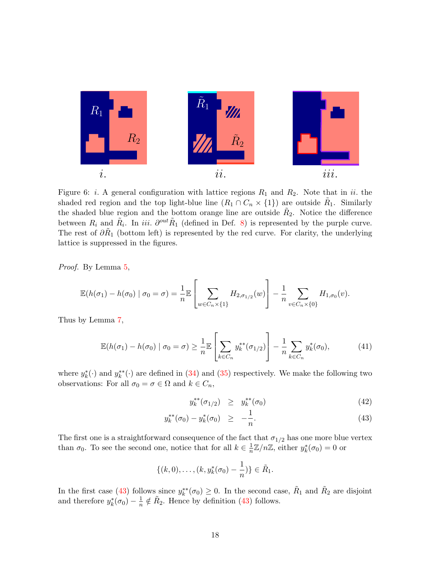

<span id="page-17-0"></span>Figure 6: *i*. A general configuration with lattice regions  $R_1$  and  $R_2$ . Note that in *ii*. the shaded red region and the top light-blue line  $(R_1 \cap C_n \times \{1\})$  are outside  $\tilde{R}_1$ . Similarly the shaded blue region and the bottom orange line are outside  $R_2$ . Notice the difference between  $R_i$  and  $\tilde{R}_i$ . In *iii.*  $\partial^{out} \tilde{R}_1$  (defined in Def. [8\)](#page-22-0) is represented by the purple curve. The rest of  $\partial \tilde{R}_1$  (bottom left) is represented by the red curve. For clarity, the underlying lattice is suppressed in the figures.

Proof. By Lemma [5,](#page-12-5)

$$
\mathbb{E}(h(\sigma_1) - h(\sigma_0) \mid \sigma_0 = \sigma) = \frac{1}{n} \mathbb{E} \left[ \sum_{w \in C_n \times \{1\}} H_{2, \sigma_{1/2}}(w) \right] - \frac{1}{n} \sum_{v \in C_n \times \{0\}} H_{1, \sigma_0}(v).
$$

Thus by Lemma [7,](#page-15-2)

<span id="page-17-2"></span>
$$
\mathbb{E}(h(\sigma_1) - h(\sigma_0) \mid \sigma_0 = \sigma) \ge \frac{1}{n} \mathbb{E}\left[\sum_{k \in C_n} y_k^{**}(\sigma_{1/2})\right] - \frac{1}{n} \sum_{k \in C_n} y_k^{*}(\sigma_0),\tag{41}
$$

where  $y_k^*(\cdot)$  and  $y_k^{**}(\cdot)$  are defined in [\(34\)](#page-15-3) and [\(35\)](#page-15-4) respectively. We make the following two observations: For all  $\sigma_0 = \sigma \in \Omega$  and  $k \in C_n$ ,

<span id="page-17-1"></span>
$$
y_k^{**}(\sigma_{1/2}) \ge y_k^{**}(\sigma_0) \tag{42}
$$

$$
y_k^{**}(\sigma_0) - y_k^*(\sigma_0) \ge -\frac{1}{n}.\tag{43}
$$

The first one is a straightforward consequence of the fact that  $\sigma_{1/2}$  has one more blue vertex than  $\sigma_0$ . To see the second one, notice that for all  $k \in \frac{1}{n}$  $\frac{1}{n}\mathbb{Z}/n\mathbb{Z}$ , either  $y_k^*(\sigma_0) = 0$  or

$$
\{(k,0),\ldots,(k,y_k^*(\sigma_0)-\frac{1}{n})\}\in \tilde{R}_1.
$$

In the first case [\(43\)](#page-17-1) follows since  $y_k^{**}(\sigma_0) \geq 0$ . In the second case,  $R_1$  and  $R_2$  are disjoint and therefore  $y_k^*(\sigma_0) - \frac{1}{n}$  $\frac{1}{n} \notin \tilde{R}_2$ . Hence by definition [\(43\)](#page-17-1) follows.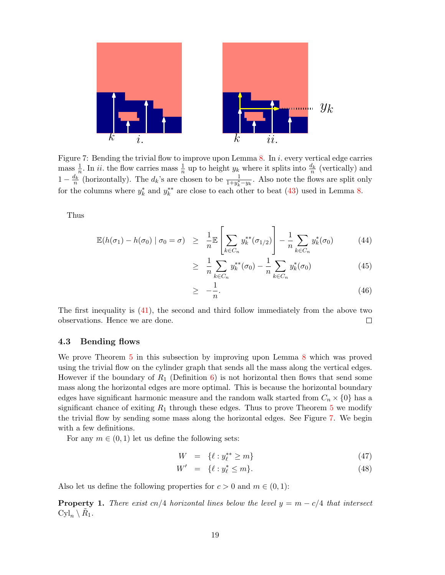

<span id="page-18-0"></span>Figure 7: Bending the trivial flow to improve upon Lemma [8.](#page-16-2) In i. every vertical edge carries mass  $\frac{1}{n}$ . In *ii*. the flow carries mass  $\frac{1}{n}$  up to height  $y_k$  where it splits into  $\frac{d_k}{n}$  (vertically) and  $1 - \frac{d_k}{n}$  (horizontally). The  $d_k$ 's are chosen to be  $\frac{1}{1 + y_k^* - y_k}$ . Also note the flows are split only for the columns where  $y_k^*$  and  $y_k^{**}$  are close to each other to beat [\(43\)](#page-17-1) used in Lemma [8.](#page-16-2)

Thus

<span id="page-18-2"></span>
$$
\mathbb{E}(h(\sigma_1) - h(\sigma_0) \mid \sigma_0 = \sigma) \geq \frac{1}{n} \mathbb{E}\left[\sum_{k \in C_n} y_k^{**}(\sigma_{1/2})\right] - \frac{1}{n} \sum_{k \in C_n} y_k^{*}(\sigma_0) \tag{44}
$$

$$
\geq \frac{1}{n} \sum_{k \in C_n} y_k^{**}(\sigma_0) - \frac{1}{n} \sum_{k \in C_n} y_k^{*}(\sigma_0) \tag{45}
$$

$$
\geq -\frac{1}{n}.\tag{46}
$$

The first inequality is [\(41\)](#page-17-2), the second and third follow immediately from the above two observations. Hence we are done.  $\Box$ 

### 4.3 Bending flows

We prove Theorem [5](#page-12-0) in this subsection by improving upon Lemma [8](#page-16-2) which was proved using the trivial flow on the cylinder graph that sends all the mass along the vertical edges. However if the boundary of  $R_1$  (Definition [6\)](#page-12-3) is not horizontal then flows that send some mass along the horizontal edges are more optimal. This is because the horizontal boundary edges have significant harmonic measure and the random walk started from  $C_n \times \{0\}$  has a significant chance of exiting  $R_1$  through these edges. Thus to prove Theorem [5](#page-12-0) we modify the trivial flow by sending some mass along the horizontal edges. See Figure [7.](#page-18-0) We begin with a few definitions.

For any  $m \in (0, 1)$  let us define the following sets:

<span id="page-18-3"></span>
$$
W = \{ \ell : y_{\ell}^{**} \ge m \} \tag{47}
$$

$$
W' = \{ \ell : y_{\ell}^* \le m \}. \tag{48}
$$

Also let us define the following properties for  $c > 0$  and  $m \in (0, 1)$ :

<span id="page-18-1"></span>**Property 1.** There exist cn/4 horizontal lines below the level  $y = m - c/4$  that intersect  $Cyl_n \setminus \tilde{R}_1.$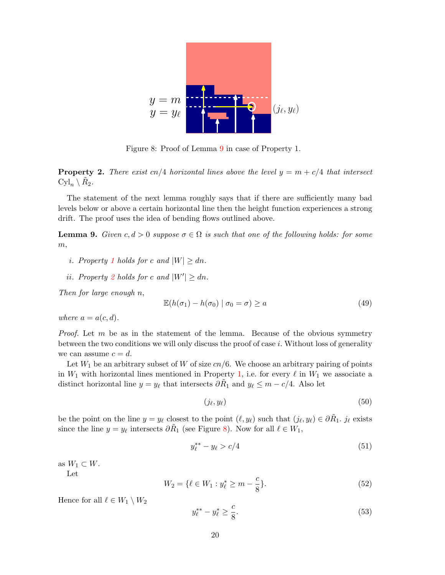

<span id="page-19-2"></span>Figure 8: Proof of Lemma [9](#page-19-0) in case of Property 1.

<span id="page-19-1"></span>**Property 2.** There exist cn/4 horizontal lines above the level  $y = m + c/4$  that intersect  $Cyl_n \setminus \tilde{R}_2.$ 

The statement of the next lemma roughly says that if there are sufficiently many bad levels below or above a certain horizontal line then the height function experiences a strong drift. The proof uses the idea of bending flows outlined above.

<span id="page-19-0"></span>**Lemma 9.** Given  $c, d > 0$  suppose  $\sigma \in \Omega$  is such that one of the following holds: for some  $m,$ 

- i. Property [1](#page-18-1) holds for c and  $|W| > dn$ .
- ii. Property [2](#page-19-1) holds for c and  $|W'| \geq dn$ .

Then for large enough n,

<span id="page-19-4"></span>
$$
\mathbb{E}(h(\sigma_1) - h(\sigma_0) \mid \sigma_0 = \sigma) \ge a \tag{49}
$$

where  $a = a(c, d)$ .

*Proof.* Let  $m$  be as in the statement of the lemma. Because of the obvious symmetry between the two conditions we will only discuss the proof of case  $i$ . Without loss of generality we can assume  $c = d$ .

Let  $W_1$  be an arbitrary subset of W of size  $cn/6$ . We choose an arbitrary pairing of points in  $W_1$  with horizontal lines mentioned in Property [1,](#page-18-1) i.e. for every  $\ell$  in  $W_1$  we associate a distinct horizontal line  $y = y_\ell$  that intersects  $\partial \tilde{R}_1$  and  $y_\ell \leq m - c/4$ . Also let

<span id="page-19-6"></span>
$$
(j_{\ell}, y_{\ell}) \tag{50}
$$

be the point on the line  $y = y_\ell$  closest to the point  $(\ell, y_\ell)$  such that  $(j_\ell, y_\ell) \in \partial \tilde{R}_1$ .  $j_\ell$  exists since the line  $y = y_\ell$  intersects  $\partial \tilde{R}_1$  (see Figure [8\)](#page-19-2). Now for all  $\ell \in W_1$ ,

$$
y_{\ell}^{**} - y_{\ell} > c/4 \tag{51}
$$

as  $W_1 \subset W$ .

Let

<span id="page-19-5"></span>
$$
W_2 = \{ \ell \in W_1 : y_{\ell}^* \ge m - \frac{c}{8} \}.
$$
\n<sup>(52)</sup>

Hence for all  $\ell \in W_1 \setminus W_2$ 

<span id="page-19-3"></span>
$$
y_{\ell}^{**} - y_{\ell}^* \ge \frac{c}{8}.\tag{53}
$$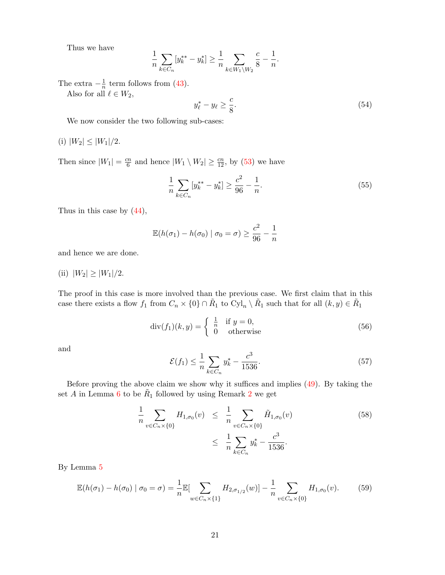Thus we have

$$
\frac{1}{n}\sum_{k\in C_n}[y_k^{**}-y_k^*]\geq \frac{1}{n}\sum_{k\in W_1\backslash W_2}\frac{c}{8}-\frac{1}{n}.
$$

The extra  $-\frac{1}{n}$  $\frac{1}{n}$  term follows from [\(43\)](#page-17-1).

Also for all  $\ell \in W_2$ ,

<span id="page-20-3"></span>
$$
y_{\ell}^* - y_{\ell} \ge \frac{c}{8}.\tag{54}
$$

We now consider the two following sub-cases:

(i)  $|W_2| \leq |W_1|/2$ .

Then since  $|W_1| = \frac{cn}{6}$  $\frac{m}{6}$  and hence  $|W_1 \setminus W_2| \ge \frac{cn}{12}$ , by [\(53\)](#page-19-3) we have

$$
\frac{1}{n}\sum_{k\in C_n} [y_k^{**} - y_k^*] \ge \frac{c^2}{96} - \frac{1}{n}.\tag{55}
$$

Thus in this case by [\(44\)](#page-18-2),

$$
\mathbb{E}(h(\sigma_1) - h(\sigma_0) \mid \sigma_0 = \sigma) \ge \frac{c^2}{96} - \frac{1}{n}
$$

and hence we are done.

(ii)  $|W_2| \ge |W_1|/2$ .

The proof in this case is more involved than the previous case. We first claim that in this case there exists a flow  $f_1$  from  $C_n \times \{0\} \cap \tilde{R}_1$  to  $Cyl_n \setminus \tilde{R}_1$  such that for all  $(k, y) \in \tilde{R}_1$ 

<span id="page-20-1"></span>
$$
\operatorname{div}(f_1)(k, y) = \begin{cases} \frac{1}{n} & \text{if } y = 0, \\ 0 & \text{otherwise} \end{cases}
$$
 (56)

and

<span id="page-20-2"></span>
$$
\mathcal{E}(f_1) \le \frac{1}{n} \sum_{k \in C_n} y_k^* - \frac{c^3}{1536}.
$$
\n(57)

Before proving the above claim we show why it suffices and implies [\(49\)](#page-19-4). By taking the set A in Lemma [6](#page-14-0) to be  $R_1$  followed by using Remark [2](#page-15-1) we get

<span id="page-20-0"></span>
$$
\frac{1}{n} \sum_{v \in C_n \times \{0\}} H_{1,\sigma_0}(v) \leq \frac{1}{n} \sum_{v \in C_n \times \{0\}} \tilde{H}_{1,\sigma_0}(v) \tag{58}
$$
\n
$$
\leq \frac{1}{n} \sum_{k \in C_n} y_k^* - \frac{c^3}{1536}.
$$

By Lemma [5](#page-12-5)

$$
\mathbb{E}(h(\sigma_1) - h(\sigma_0) \mid \sigma_0 = \sigma) = \frac{1}{n} \mathbb{E}[\sum_{w \in C_n \times \{1\}} H_{2,\sigma_{1/2}}(w)] - \frac{1}{n} \sum_{v \in C_n \times \{0\}} H_{1,\sigma_0}(v). \tag{59}
$$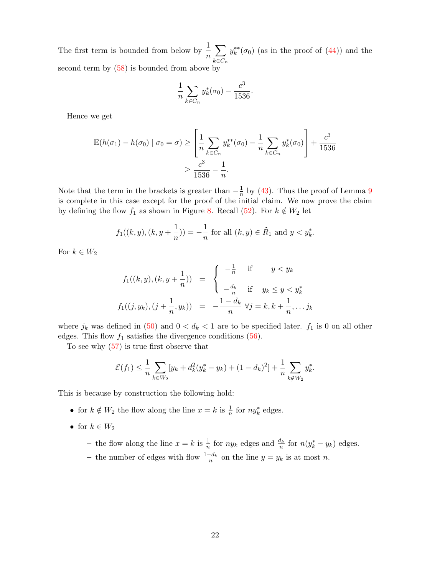The first term is bounded from below by  $\frac{1}{n}$  $\sum$  $_{k\in C_n}$  $y_k^{**}(\sigma_0)$  (as in the proof of  $(44)$ ) and the second term by  $(58)$  is bounded from above by

$$
\frac{1}{n} \sum_{k \in C_n} y_k^*(\sigma_0) - \frac{c^3}{1536}
$$

.

Hence we get

$$
\mathbb{E}(h(\sigma_1) - h(\sigma_0) | \sigma_0 = \sigma) \ge \left[ \frac{1}{n} \sum_{k \in C_n} y_k^{**}(\sigma_0) - \frac{1}{n} \sum_{k \in C_n} y_k^{*}(\sigma_0) \right] + \frac{c^3}{1536}
$$

$$
\ge \frac{c^3}{1536} - \frac{1}{n}.
$$

Note that the term in the brackets is greater than  $-\frac{1}{n}$  $\frac{1}{n}$  by [\(43\)](#page-17-1). Thus the proof of Lemma [9](#page-19-0) is complete in this case except for the proof of the initial claim. We now prove the claim by defining the flow  $f_1$  as shown in Figure [8.](#page-19-2) Recall [\(52\)](#page-19-5). For  $k \notin W_2$  let

$$
f_1((k, y), (k, y + \frac{1}{n})) = -\frac{1}{n}
$$
 for all  $(k, y) \in \tilde{R}_1$  and  $y < y_k^*$ .

For  $k \in W_2$ 

$$
f_1((k, y), (k, y + \frac{1}{n})) = \begin{cases} -\frac{1}{n} & \text{if } y < y_k \\ -\frac{d_k}{n} & \text{if } y_k \le y < y_k^* \end{cases}
$$

$$
f_1((j, y_k), (j + \frac{1}{n}, y_k)) = -\frac{1 - d_k}{n} \forall j = k, k + \frac{1}{n}, \dots j_k
$$

where  $j_k$  was defined in [\(50\)](#page-19-6) and  $0 < d_k < 1$  are to be specified later.  $f_1$  is 0 on all other edges. This flow  $f_1$  satisfies the divergence conditions [\(56\)](#page-20-1).

To see why [\(57\)](#page-20-2) is true first observe that

$$
\mathcal{E}(f_1) \leq \frac{1}{n} \sum_{k \in W_2} [y_k + d_k^2 (y_k^* - y_k) + (1 - d_k)^2] + \frac{1}{n} \sum_{k \notin W_2} y_k^*.
$$

This is because by construction the following hold:

- for  $k \notin W_2$  the flow along the line  $x = k$  is  $\frac{1}{n}$  for  $ny_k^*$  edges.
- for  $k \in W_2$ 
	- the flow along the line  $x = k$  is  $\frac{1}{n}$  for  $ny_k$  edges and  $\frac{d_k}{n}$  for  $n(y_k^* y_k)$  edges.
	- the number of edges with flow  $\frac{1-d_k}{n}$  on the line  $y = y_k$  is at most n.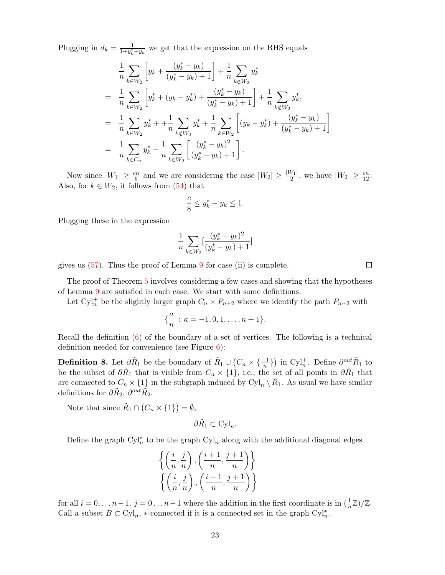Plugging in  $d_k = \frac{1}{1 + u^*}$  $\frac{1}{1+y_k^*-y_k}$  we get that the expression on the RHS equals

$$
\frac{1}{n} \sum_{k \in W_2} \left[ y_k + \frac{(y_k^* - y_k)}{(y_k^* - y_k) + 1} \right] + \frac{1}{n} \sum_{k \notin W_2} y_k^*
$$
\n
$$
= \frac{1}{n} \sum_{k \in W_2} \left[ y_k^* + (y_k - y_k^*) + \frac{(y_k^* - y_k)}{(y_k^* - y_k) + 1} \right] + \frac{1}{n} \sum_{k \notin W_2} y_k^*,
$$
\n
$$
= \frac{1}{n} \sum_{k \in W_2} y_k^* + \frac{1}{n} \sum_{k \notin W_2} y_k^* + \frac{1}{n} \sum_{k \in W_2} \left[ (y_k - y_k^*) + \frac{(y_k^* - y_k)}{(y_k^* - y_k) + 1} \right]
$$
\n
$$
= \frac{1}{n} \sum_{k \in C_n} y_k^* - \frac{1}{n} \sum_{k \in W_2} \left[ \frac{(y_k^* - y_k)^2}{(y_k^* - y_k) + 1} \right].
$$

Now since  $|W_1| \ge \frac{cn}{6}$  and we are considering the case  $|W_2| \ge \frac{|W_1|}{2}$ , we have  $|W_2| \ge \frac{cn}{12}$ . Also, for  $k \in W_2$ , it follows from [\(54\)](#page-20-3) that

$$
\frac{c}{8} \le y_k^* - y_k \le 1.
$$

Plugging these in the expression

$$
\frac{1}{n}\sum_{k\in W_2}[\frac{(y_k^*-y_k)^2}{(y_k^*-y_k)+1}]
$$

gives us [\(57\)](#page-20-2). Thus the proof of Lemma [9](#page-19-0) for case (ii) is complete.

The proof of Theorem [5](#page-12-0) involves considering a few cases and showing that the hypotheses of Lemma [9](#page-19-0) are satisfied in each case. We start with some definitions.

Let Cyl<sup>+</sup> be the slightly larger graph  $C_n \times P_{n+2}$  where we identify the path  $P_{n+2}$  with

$$
\{\frac{a}{n} \, : \, a=-1,0,1,\ldots,n+1\}.
$$

Recall the definition [\(6\)](#page-3-2) of the boundary of a set of vertices. The following is a technical definition needed for convenience (see Figure  $6$ ):

<span id="page-22-0"></span>**Definition 8.** Let  $\partial \tilde{R}_1$  be the boundary of  $\tilde{R}_1 \cup (C_n \times {\frac{-1}{n}})$  in Cyl<sup>+</sup>. Define  $\partial_{\infty}^{out} \tilde{R}_1$  to be the subset of  $\partial \tilde{R}_1$  that is visible from  $C_n \times \{1\}$ , i.e., the set of all points in  $\partial \tilde{R}_1$  that are connected to  $C_n \times \{1\}$  in the subgraph induced by  $Cyl_n \setminus \tilde{R}_1$ . As usual we have similar definitions for  $\partial \tilde{R}_2$ ,  $\partial^{out} \tilde{R}_2$ .

Note that since  $\tilde{R}_1 \cap (C_n \times \{1\}) = \emptyset$ ,

$$
\partial \tilde{R}_1 \subset \text{Cyl}_n.
$$

Define the graph  $\mathrm{Cyl}_n^*$  to be the graph  $\mathrm{Cyl}_n$  along with the additional diagonal edges

$$
\left\{ \left( \frac{i}{n}, \frac{j}{n} \right), \left( \frac{i+1}{n}, \frac{j+1}{n} \right) \right\}
$$

$$
\left\{ \left( \frac{i}{n}, \frac{j}{n} \right), \left( \frac{i-1}{n}, \frac{j+1}{n} \right) \right\}
$$

for all  $i = 0, \ldots n-1$ ,  $j = 0 \ldots n-1$  where the addition in the first coordinate is in  $\left(\frac{1}{n}\mathbb{Z}\right)/\mathbb{Z}$ . Call a subset  $B \subset \mathrm{Cyl}_n$ , \*-connected if it is a connected set in the graph  $\mathrm{Cyl}_n^*$ .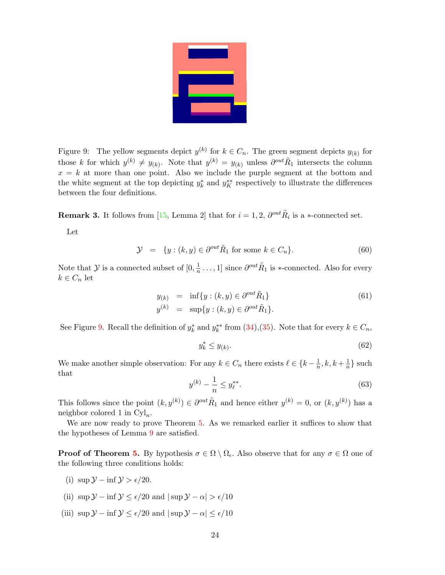

<span id="page-23-0"></span>Figure 9: The yellow segments depict  $y^{(k)}$  for  $k \in C_n$ . The green segment depicts  $y_{(k)}$  for those k for which  $y^{(k)} \neq y_{(k)}$ . Note that  $y^{(k)} = y_{(k)}$  unless  $\partial^{out} \tilde{R}_1$  intersects the column  $x = k$  at more than one point. Also we include the purple segment at the bottom and the white segment at the top depicting  $y_k^*$  and  $y_K^{**}$  respectively to illustrate the differences between the four definitions.

<span id="page-23-2"></span>**Remark 3.** It follows from [\[15,](#page-46-11) Lemma 2] that for  $i = 1, 2, \partial^{out} \tilde{R}_i$  is a  $*$ -connected set.

Let

<span id="page-23-1"></span>
$$
\mathcal{Y} = \{ y : (k, y) \in \partial^{out} \tilde{R}_1 \text{ for some } k \in C_n \}. \tag{60}
$$

Note that  $\mathcal Y$  is a connected subset of  $[0, \frac{1}{n}]$  $\frac{1}{n} \dots$ , 1] since  $\partial^{out} \tilde{R}_1$  is \*-connected. Also for every  $k \in C_n$  let

<span id="page-23-3"></span>
$$
y_{(k)} = \inf\{y : (k, y) \in \partial^{out} \tilde{R}_1\}
$$
  
\n
$$
y^{(k)} = \sup\{y : (k, y) \in \partial^{out} \tilde{R}_1\}.
$$
\n(61)

See Figure [9.](#page-23-0) Recall the definition of  $y_k^*$  and  $y_k^{**}$  from [\(34\)](#page-15-3),[\(35\)](#page-15-4). Note that for every  $k \in C_n$ ,

<span id="page-23-5"></span>
$$
y_k^* \le y_{(k)}.\tag{62}
$$

We make another simple observation: For any  $k \in C_n$  there exists  $\ell \in \{k - \frac{1}{n}\}$  $\frac{1}{n}, k, k+\frac{1}{n}$  $\frac{1}{n}$  such that

<span id="page-23-4"></span>
$$
y^{(k)} - \frac{1}{n} \le y_{\ell}^{**}.\tag{63}
$$

This follows since the point  $(k, y^{(k)}) \in \partial^{out} \tilde{R}_1$  and hence either  $y^{(k)} = 0$ , or  $(k, y^{(k)})$  has a neighbor colored 1 in  $Cyl_n$ .

We are now ready to prove Theorem [5.](#page-12-0) As we remarked earlier it suffices to show that the hypotheses of Lemma [9](#page-19-0) are satisfied.

**Proof of Theorem [5.](#page-12-0)** By hypothesis  $\sigma \in \Omega \setminus \Omega_{\epsilon}$ . Also observe that for any  $\sigma \in \Omega$  one of the following three conditions holds:

- (i) sup  $\mathcal{Y} \inf \mathcal{Y} > \epsilon/20$ .
- (ii)  $\sup \mathcal{Y} \inf \mathcal{Y} \leq \epsilon/20$  and  $|\sup \mathcal{Y} \alpha| > \epsilon/10$
- (iii)  $\sup \mathcal{Y} \inf \mathcal{Y} \leq \epsilon/20$  and  $|\sup \mathcal{Y} \alpha| \leq \epsilon/10$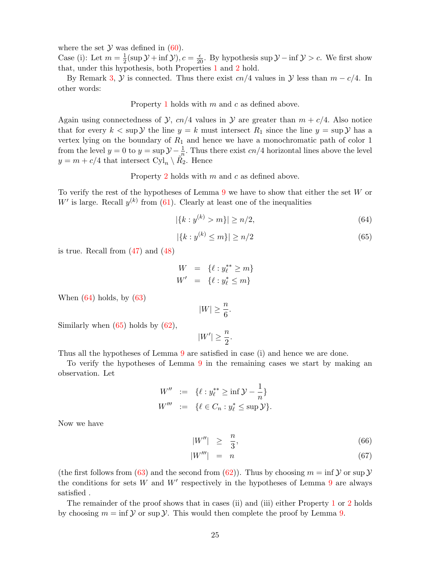where the set  $\mathcal Y$  was defined in [\(60\)](#page-23-1).

Case (i): Let  $m=\frac{1}{2}$  $\frac{1}{2}(\sup \mathcal{Y} + \inf \mathcal{Y}), c = \frac{\epsilon}{20}$ . By hypothesis sup  $\mathcal{Y} - \inf \mathcal{Y} > c$ . We first show that, under this hypothesis, both Properties [1](#page-18-1) and [2](#page-19-1) hold.

By Remark [3,](#page-23-2)  $\mathcal Y$  is connected. Thus there exist cn/4 values in  $\mathcal Y$  less than  $m - c/4$ . In other words:

Property [1](#page-18-1) holds with  $m$  and  $c$  as defined above.

Again using connectedness of  $\mathcal{Y}$ ,  $cn/4$  values in  $\mathcal{Y}$  are greater than  $m + c/4$ . Also notice that for every  $k < \sup \mathcal{Y}$  the line  $y = k$  must intersect  $R_1$  since the line  $y = \sup \mathcal{Y}$  has a vertex lying on the boundary of  $R_1$  and hence we have a monochromatic path of color 1 from the level  $y = 0$  to  $y = \sup \mathcal{Y} - \frac{1}{n}$ . Thus there exist  $cn/4$  horizontal lines above the level  $y = m + c/4$  that intersect  $Cyl_n \setminus \tilde{R_2}$ . Hence

Property [2](#page-19-1) holds with m and c as defined above.

To verify the rest of the hypotheses of Lemma [9](#page-19-0) we have to show that either the set W or  $W'$  is large. Recall  $y^{(k)}$  from [\(61\)](#page-23-3). Clearly at least one of the inequalities

<span id="page-24-0"></span>
$$
|\{k : y^{(k)} > m\}| \ge n/2,\tag{64}
$$

<span id="page-24-1"></span>
$$
|\{k : y^{(k)} \le m\}| \ge n/2 \tag{65}
$$

is true. Recall from  $(47)$  and  $(48)$ 

$$
W = \{ \ell : y_{\ell}^{**} \ge m \}
$$
  

$$
W' = \{ \ell : y_{\ell}^{*} \le m \}
$$

When  $(64)$  holds, by  $(63)$ 

$$
|W| \ge \frac{n}{6}.
$$

Similarly when  $(65)$  holds by  $(62)$ ,

$$
|W'| \ge \frac{n}{2}.
$$

Thus all the hypotheses of Lemma [9](#page-19-0) are satisfied in case (i) and hence we are done.

To verify the hypotheses of Lemma [9](#page-19-0) in the remaining cases we start by making an observation. Let

$$
W'' := \{ \ell : y_{\ell}^{**} \ge \inf \mathcal{Y} - \frac{1}{n} \} W''' := \{ \ell \in C_n : y_{\ell}^{*} \le \sup \mathcal{Y} \}.
$$

Now we have

$$
|W''| \ge \frac{n}{3},\tag{66}
$$

$$
|W'''| = n \tag{67}
$$

(the first follows from [\(63\)](#page-23-4) and the second from [\(62\)](#page-23-5)). Thus by choosing  $m = \inf \mathcal{Y}$  or sup  $\mathcal{Y}$ the conditions for sets W and  $W'$  respectively in the hypotheses of Lemma [9](#page-19-0) are always satisfied .

The remainder of the proof shows that in cases (ii) and (iii) either Property [1](#page-18-1) or [2](#page-19-1) holds by choosing  $m = \inf \mathcal{Y}$  or sup  $\mathcal{Y}$ . This would then complete the proof by Lemma [9.](#page-19-0)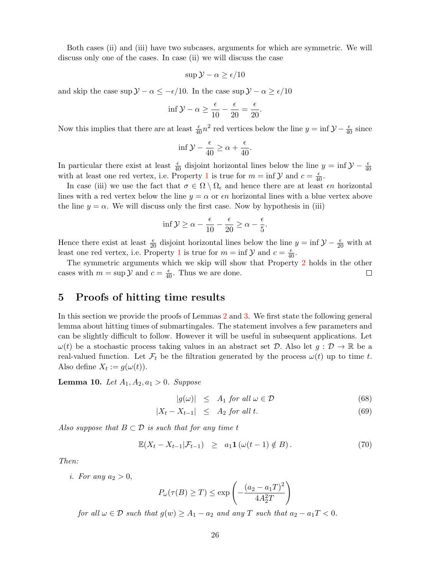Both cases (ii) and (iii) have two subcases, arguments for which are symmetric. We will discuss only one of the cases. In case (ii) we will discuss the case

$$
\sup \mathcal{Y} - \alpha \ge \epsilon / 10
$$

and skip the case sup  $\mathcal{Y} - \alpha \leq -\epsilon/10$ . In the case sup  $\mathcal{Y} - \alpha \geq \epsilon/10$ 

$$
\inf \mathcal{Y} - \alpha \ge \frac{\epsilon}{10} - \frac{\epsilon}{20} = \frac{\epsilon}{20}.
$$

Now this implies that there are at least  $\frac{\epsilon}{40}n^2$  red vertices below the line  $y = \inf \mathcal{Y} - \frac{\epsilon}{40}$  since

$$
\inf \mathcal{Y} - \frac{\epsilon}{40} \ge \alpha + \frac{\epsilon}{40}.
$$

In particular there exist at least  $\frac{\epsilon}{40}$  disjoint horizontal lines below the line  $y = \inf \mathcal{Y} - \frac{\epsilon}{40}$ with at least one red vertex, i.e. Property [1](#page-18-1) is true for  $m = \inf \mathcal{Y}$  and  $c = \frac{\epsilon}{40}$ .

In case (iii) we use the fact that  $\sigma \in \Omega \setminus \Omega_{\epsilon}$  and hence there are at least  $\epsilon n$  horizontal lines with a red vertex below the line  $y = \alpha$  or  $\epsilon n$  horizontal lines with a blue vertex above the line  $y = \alpha$ . We will discuss only the first case. Now by hypothesis in (iii)

$$
\inf \mathcal{Y} \ge \alpha - \frac{\epsilon}{10} - \frac{\epsilon}{20} \ge \alpha - \frac{\epsilon}{5}.
$$

Hence there exist at least  $\frac{\epsilon}{20}$  disjoint horizontal lines below the line  $y = \inf \mathcal{Y} - \frac{\epsilon}{20}$  with at least one red vertex, i.e. Property [1](#page-18-1) is true for  $m = \inf \mathcal{Y}$  and  $c = \frac{\epsilon}{40}$ .

The symmetric arguments which we skip will show that Property [2](#page-19-1) holds in the other cases with  $m = \sup \mathcal{Y}$  and  $c = \frac{\epsilon}{40}$ . Thus we are done.  $\Box$ 

# <span id="page-25-0"></span>5 Proofs of hitting time results

In this section we provide the proofs of Lemmas [2](#page-10-1) and [3.](#page-10-2) We first state the following general lemma about hitting times of submartingales. The statement involves a few parameters and can be slightly difficult to follow. However it will be useful in subsequent applications. Let  $\omega(t)$  be a stochastic process taking values in an abstract set D. Also let  $g: \mathcal{D} \to \mathbb{R}$  be a real-valued function. Let  $\mathcal{F}_t$  be the filtration generated by the process  $\omega(t)$  up to time t. Also define  $X_t := g(\omega(t)).$ 

<span id="page-25-1"></span>**Lemma 10.** Let  $A_1, A_2, a_1 > 0$ . Suppose

<span id="page-25-3"></span>
$$
|g(\omega)| \leq A_1 \text{ for all } \omega \in \mathcal{D} \tag{68}
$$

$$
|X_t - X_{t-1}| \leq A_2 \text{ for all } t. \tag{69}
$$

Also suppose that  $B \subset \mathcal{D}$  is such that for any time t

<span id="page-25-2"></span>
$$
\mathbb{E}(X_t - X_{t-1}|\mathcal{F}_{t-1}) \geq a_1 \mathbf{1} \left( \omega(t-1) \notin B \right). \tag{70}
$$

Then:

i. For any  $a_2 > 0$ ,

$$
P_{\omega}(\tau(B) \ge T) \le \exp\left(-\frac{(a_2 - a_1T)^2}{4A_2^2T}\right)
$$

for all  $\omega \in \mathcal{D}$  such that  $g(w) \geq A_1 - a_2$  and any T such that  $a_2 - a_1T < 0$ .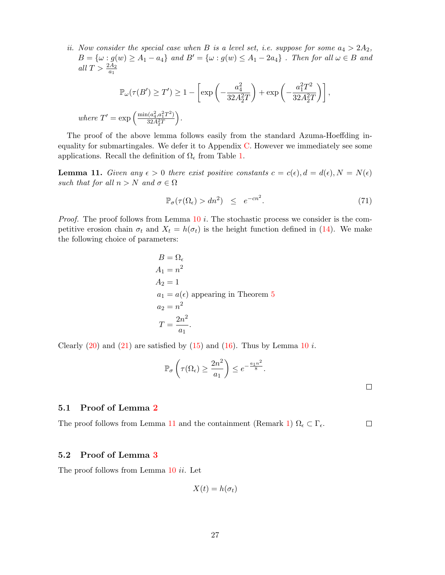ii. Now consider the special case when B is a level set, i.e. suppose for some  $a_4 > 2A_2$ ,  $B = {\omega : g(w) \geq A_1 - a_4}$  and  $B' = {\omega : g(w) \leq A_1 - 2a_4}$ . Then for all  $\omega \in B$  and all  $T > \frac{2A_2}{a_1}$ 

$$
\mathbb{P}_{\omega}(\tau(B') \ge T') \ge 1 - \left[\exp\left(-\frac{a_4^2}{32A_2^2T}\right) + \exp\left(-\frac{a_1^2T^2}{32A_2^2T}\right)\right],
$$
  
where  $T' = \exp\left(\frac{\min(a_4^2, a_1^2T^2)}{32A_2^2T}\right).$ 

The proof of the above lemma follows easily from the standard Azuma-Hoeffding inequality for submartingales. We defer it to Appendix [C.](#page-43-0) However we immediately see some applications. Recall the definition of  $\Omega_{\epsilon}$  from Table [1.](#page-9-1)

<span id="page-26-0"></span>**Lemma 11.** Given any  $\epsilon > 0$  there exist positive constants  $c = c(\epsilon)$ ,  $d = d(\epsilon)$ ,  $N = N(\epsilon)$ such that for all  $n > N$  and  $\sigma \in \Omega$ 

$$
\mathbb{P}_{\sigma}(\tau(\Omega_{\epsilon}) > dn^2) \leq e^{-cn^2}.
$$
\n(71)

*Proof.* The proof follows from Lemma  $10 i$  $10 i$ . The stochastic process we consider is the competitive erosion chain  $\sigma_t$  and  $X_t = h(\sigma_t)$  is the height function defined in [\(14\)](#page-9-3). We make the following choice of parameters:

$$
B = \Omega_{\epsilon}
$$
  
\n
$$
A_1 = n^2
$$
  
\n
$$
A_2 = 1
$$
  
\n
$$
a_1 = a(\epsilon)
$$
 appearing in Theorem 5  
\n
$$
a_2 = n^2
$$
  
\n
$$
T = \frac{2n^2}{a_1}.
$$

Clearly  $(20)$  and  $(21)$  are satisfied by  $(15)$  and  $(16)$ . Thus by Lemma [10](#page-25-1) i.

$$
\mathbb{P}_{\sigma}\left(\tau(\Omega_{\epsilon}) \ge \frac{2n^2}{a_1}\right) \le e^{-\frac{a_1 n^2}{8}}.
$$

#### 5.1 Proof of Lemma [2](#page-10-1)

The proof follows from Lemma [11](#page-26-0) and the containment (Remark [1\)](#page-9-0)  $\Omega_{\epsilon} \subset \Gamma_{\epsilon}$ .  $\Box$ 

### 5.2 Proof of Lemma [3](#page-10-2)

The proof follows from Lemma [10](#page-25-1) ii. Let

$$
X(t) = h(\sigma_t)
$$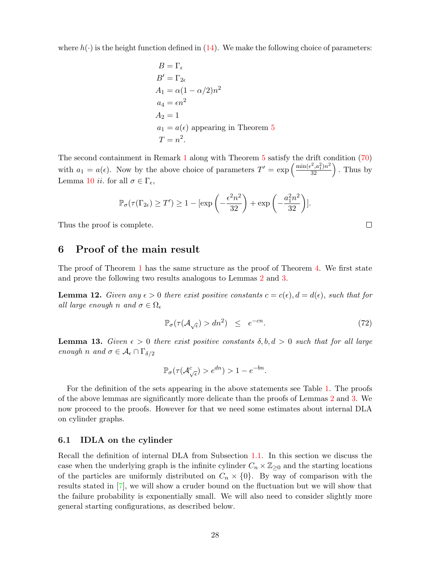where  $h(\cdot)$  is the height function defined in [\(14\)](#page-9-3). We make the following choice of parameters:

$$
B = \Gamma_{\epsilon}
$$
  
\n
$$
B' = \Gamma_{2\epsilon}
$$
  
\n
$$
A_1 = \alpha(1 - \alpha/2)n^2
$$
  
\n
$$
a_4 = \epsilon n^2
$$
  
\n
$$
A_2 = 1
$$
  
\n
$$
a_1 = a(\epsilon)
$$
 appearing in Theorem 5  
\n
$$
T = n^2.
$$

The second containment in Remark [1](#page-9-0) along with Theorem [5](#page-12-0) satisfy the drift condition [\(70\)](#page-25-2) with  $a_1 = a(\epsilon)$ . Now by the above choice of parameters  $T' = \exp\left(\frac{\min(\epsilon^2, a_1^2)n^2}{32}\right)$ . Thus by Lemma [10](#page-25-1) *ii*. for all  $\sigma \in \Gamma_{\epsilon}$ ,

$$
\mathbb{P}_{\sigma}(\tau(\Gamma_{2\epsilon}) \ge T') \ge 1 - [\exp\left(-\frac{\epsilon^2 n^2}{32}\right) + \exp\left(-\frac{a_1^2 n^2}{32}\right)].
$$

Thus the proof is complete.

### <span id="page-27-0"></span>6 Proof of the main result

The proof of Theorem [1](#page-1-1) has the same structure as the proof of Theorem [4.](#page-8-0) We first state and prove the following two results analogous to Lemmas [2](#page-10-1) and [3.](#page-10-2)

<span id="page-27-1"></span>**Lemma 12.** Given any  $\epsilon > 0$  there exist positive constants  $c = c(\epsilon)$ ,  $d = d(\epsilon)$ , such that for all large enough n and  $\sigma \in \Omega_{\epsilon}$ 

$$
\mathbb{P}_{\sigma}(\tau(\mathcal{A}_{\sqrt{\epsilon}}) > dn^2) \leq e^{-cn}.
$$
\n(72)

 $\Box$ 

<span id="page-27-2"></span>**Lemma 13.** Given  $\epsilon > 0$  there exist positive constants  $\delta, b, d > 0$  such that for all large enough n and  $\sigma \in \mathcal{A}_{\epsilon} \cap \Gamma_{\delta/2}$ 

$$
\mathbb{P}_{\sigma}(\tau(\mathcal{A}_{\sqrt{\epsilon}}^c) > e^{dn}) > 1 - e^{-bn}.
$$

For the definition of the sets appearing in the above statements see Table [1.](#page-9-1) The proofs of the above lemmas are significantly more delicate than the proofs of Lemmas [2](#page-10-1) and [3.](#page-10-2) We now proceed to the proofs. However for that we need some estimates about internal DLA on cylinder graphs.

#### 6.1 IDLA on the cylinder

Recall the definition of internal DLA from Subsection [1.1.](#page-2-2) In this section we discuss the case when the underlying graph is the infinite cylinder  $C_n \times \mathbb{Z}_{\geq 0}$  and the starting locations of the particles are uniformly distributed on  $C_n \times \{0\}$ . By way of comparison with the results stated in [\[7\]](#page-46-12), we will show a cruder bound on the fluctuation but we will show that the failure probability is exponentially small. We will also need to consider slightly more general starting configurations, as described below.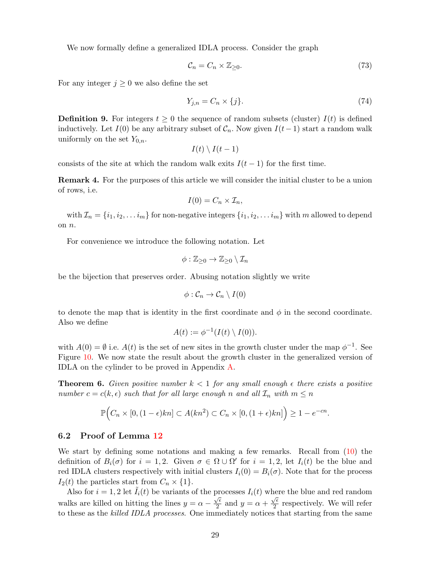We now formally define a generalized IDLA process. Consider the graph

<span id="page-28-2"></span>
$$
\mathcal{C}_n = C_n \times \mathbb{Z}_{\geq 0}.\tag{73}
$$

For any integer  $j \geq 0$  we also define the set

<span id="page-28-1"></span>
$$
Y_{j,n} = C_n \times \{j\}.\tag{74}
$$

**Definition 9.** For integers  $t \geq 0$  the sequence of random subsets (cluster)  $I(t)$  is defined inductively. Let  $I(0)$  be any arbitrary subset of  $C_n$ . Now given  $I(t-1)$  start a random walk uniformly on the set  $Y_{0,n}$ .

 $I(t) \setminus I(t-1)$ 

consists of the site at which the random walk exits  $I(t-1)$  for the first time.

**Remark 4.** For the purposes of this article we will consider the initial cluster to be a union of rows, i.e.

$$
I(0)=C_n\times \mathcal{I}_n,
$$

with  $\mathcal{I}_n = \{i_1, i_2, \ldots i_m\}$  for non-negative integers  $\{i_1, i_2, \ldots i_m\}$  with m allowed to depend on n.

For convenience we introduce the following notation. Let

$$
\phi:\mathbb{Z}_{\geq 0}\to\mathbb{Z}_{\geq 0}\setminus\mathcal{I}_n
$$

be the bijection that preserves order. Abusing notation slightly we write

$$
\phi:\mathcal{C}_n\to\mathcal{C}_n\setminus I(0)
$$

to denote the map that is identity in the first coordinate and  $\phi$  in the second coordinate. Also we define

$$
A(t) := \phi^{-1}(I(t) \setminus I(0)).
$$

with  $A(0) = \emptyset$  i.e.  $A(t)$  is the set of new sites in the growth cluster under the map  $\phi^{-1}$ . See Figure [10.](#page-29-0) We now state the result about the growth cluster in the generalized version of IDLA on the cylinder to be proved in Appendix [A.](#page-35-0)

<span id="page-28-0"></span>**Theorem 6.** Given positive number  $k < 1$  for any small enough  $\epsilon$  there exists a positive number  $c = c(k, \epsilon)$  such that for all large enough n and all  $\mathcal{I}_n$  with  $m \leq n$ 

$$
\mathbb{P}\Big(C_n\times[0,(1-\epsilon)kn]\subset A(kn^2)\subset C_n\times[0,(1+\epsilon)kn]\Big)\geq 1-e^{-cn}.
$$

### 6.2 Proof of Lemma [12](#page-27-1)

We start by defining some notations and making a few remarks. Recall from [\(10\)](#page-6-2) the definition of  $B_i(\sigma)$  for  $i = 1, 2$ . Given  $\sigma \in \Omega \cup \Omega'$  for  $i = 1, 2$ , let  $I_i(t)$  be the blue and red IDLA clusters respectively with initial clusters  $I_i(0) = B_i(\sigma)$ . Note that for the process  $I_2(t)$  the particles start from  $C_n \times \{1\}.$ 

Also for  $i = 1, 2$  let  $\tilde{I}_i(t)$  be variants of the processes  $I_i(t)$  where the blue and red random walks are killed on hitting the lines  $y = \alpha - \frac{\sqrt{\epsilon}}{2}$  $\frac{\sqrt{\epsilon}}{2}$  and  $y = \alpha + \frac{\sqrt{\epsilon}}{2}$  $\frac{\sqrt{\epsilon}}{2}$  respectively. We will refer to these as the killed IDLA processes. One immediately notices that starting from the same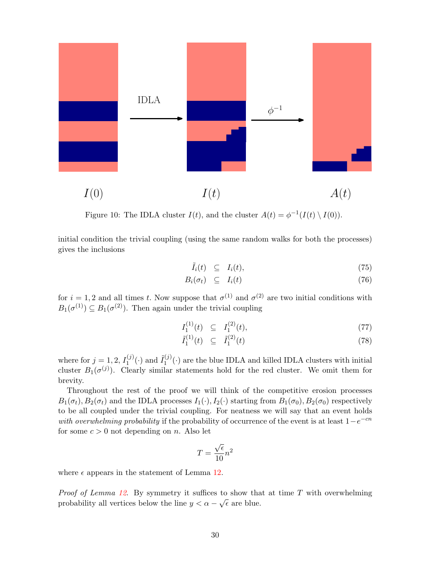

<span id="page-29-0"></span>Figure 10: The IDLA cluster  $I(t)$ , and the cluster  $A(t) = \phi^{-1}(I(t) \setminus I(0))$ .

initial condition the trivial coupling (using the same random walks for both the processes) gives the inclusions

<span id="page-29-1"></span>
$$
\tilde{I}_i(t) \subseteq I_i(t), \tag{75}
$$

$$
B_i(\sigma_t) \quad \subseteq \quad I_i(t) \tag{76}
$$

for  $i = 1, 2$  and all times t. Now suppose that  $\sigma^{(1)}$  and  $\sigma^{(2)}$  are two initial conditions with  $B_1(\sigma^{(1)}) \subseteq B_1(\sigma^{(2)})$ . Then again under the trivial coupling

<span id="page-29-2"></span>
$$
I_1^{(1)}(t) \ \subseteq \ I_1^{(2)}(t), \tag{77}
$$

$$
\tilde{I}_1^{(1)}(t) \quad \subseteq \quad \tilde{I}_1^{(2)}(t) \tag{78}
$$

where for  $j = 1, 2, I_1^{(j)}(\cdot)$  and  $\tilde{I}_1^{(j)}$  $1^{(0)}$  are the blue IDLA and killed IDLA clusters with initial cluster  $B_1(\sigma^{(j)})$ . Clearly similar statements hold for the red cluster. We omit them for brevity.

Throughout the rest of the proof we will think of the competitive erosion processes  $B_1(\sigma_t), B_2(\sigma_t)$  and the IDLA processes  $I_1(\cdot), I_2(\cdot)$  starting from  $B_1(\sigma_0), B_2(\sigma_0)$  respectively to be all coupled under the trivial coupling. For neatness we will say that an event holds with overwhelming probability if the probability of occurrence of the event is at least  $1-e^{-cn}$ for some  $c > 0$  not depending on n. Also let

$$
T = \frac{\sqrt{\epsilon}}{10} n^2
$$

where  $\epsilon$  appears in the statement of Lemma [12.](#page-27-1)

*Proof of Lemma [12](#page-27-1).* By symmetry it suffices to show that at time  $T$  with overwhelming probability all vertices below the line  $y < \alpha - \sqrt{\epsilon}$  are blue.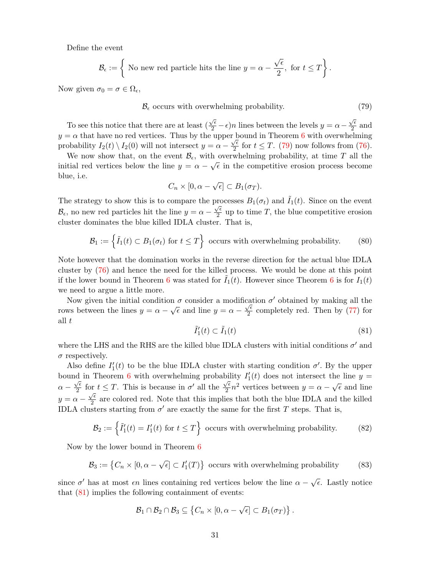Define the event

$$
\mathcal{B}_{\epsilon} := \left\{ \text{ No new red particle hits the line } y = \alpha - \frac{\sqrt{\epsilon}}{2}, \text{ for } t \leq T \right\}.
$$

Now given  $\sigma_0 = \sigma \in \Omega_{\epsilon}$ ,

<span id="page-30-0"></span>
$$
\mathcal{B}_{\epsilon} \text{ occurs with overwhelming probability.} \tag{79}
$$

To see this notice that there are at least (  $\frac{\sqrt{\epsilon}}{2} - \epsilon$ )n lines between the levels  $y = \alpha \sqrt{\epsilon}$  $\frac{\sqrt{\epsilon}}{2}$  and  $y = \alpha$  that have no red vertices. Thus by the upper bound in Theorem [6](#page-28-0) with overwhelming probability  $I_2(t) \setminus I_2(0)$  will not intersect  $y = \alpha -$ √  $\frac{\sqrt{e}}{2}$  for  $t \leq T$ . [\(79\)](#page-30-0) now follows from [\(76\)](#page-29-1).

We now show that, on the event  $\mathcal{B}_{\epsilon}$ , with overwhelming probability, at time T all the initial red vertices below the line  $y = \alpha - \sqrt{\epsilon}$  in the competitive erosion process become blue, i.e.

$$
C_n\times[0,\alpha-\sqrt{\epsilon}]\subset B_1(\sigma_T).
$$

The strategy to show this is to compare the processes  $B_1(\sigma_t)$  and  $\tilde{I}_1(t)$ . Since on the event  $\mathcal{B}_{\epsilon}$ , no new red particles hit the line  $y = \alpha - \frac{\sqrt{\epsilon}}{2}$  $\frac{\sqrt{e}}{2}$  up to time T, the blue competitive erosion cluster dominates the blue killed IDLA cluster. That is,

<span id="page-30-2"></span>
$$
\mathcal{B}_1 := \left\{ \tilde{I}_1(t) \subset B_1(\sigma_t) \text{ for } t \le T \right\} \text{ occurs with overwhelming probability.}
$$
 (80)

Note however that the domination works in the reverse direction for the actual blue IDLA cluster by [\(76\)](#page-29-1) and hence the need for the killed process. We would be done at this point if the lower bound in Theorem [6](#page-28-0) was stated for  $I_1(t)$ . However since Theorem 6 is for  $I_1(t)$ we need to argue a little more.

Now given the initial condition  $\sigma$  consider a modification  $\sigma'$  obtained by making all the rows between the lines  $y = \alpha - \sqrt{\epsilon}$  and line  $y = \alpha - \frac{\sqrt{\epsilon}}{2}$  $\frac{\sqrt{e}}{2}$  completely red. Then by [\(77\)](#page-29-2) for all t

<span id="page-30-1"></span>
$$
\tilde{I}'_1(t) \subset \tilde{I}_1(t) \tag{81}
$$

where the LHS and the RHS are the killed blue IDLA clusters with initial conditions  $\sigma'$  and  $\sigma$  respectively.

Also define  $I_1'(t)$  to be the blue IDLA cluster with starting condition  $\sigma'$ . By the upper bound in Theorem [6](#page-28-0) with overwhelming probability  $I'_1(t)$  does not intersect the line  $y =$  $\alpha - \frac{\sqrt{\epsilon}}{2}$  $\frac{\sqrt{\epsilon}}{2}$  for  $t \leq T$ . This is because in  $\sigma'$  all the  $\frac{\sqrt{\epsilon}}{2}$  $\sqrt{\epsilon} n^2$  vertices between  $y = \alpha - \sqrt{\epsilon}$  and line  $y = \alpha \sqrt{\epsilon}$  $\frac{\sqrt{\epsilon}}{2}$  are colored red. Note that this implies that both the blue IDLA and the killed IDLA clusters starting from  $\sigma'$  are exactly the same for the first T steps. That is,

<span id="page-30-3"></span>
$$
\mathcal{B}_2 := \left\{ \tilde{I}'_1(t) = I'_1(t) \text{ for } t \le T \right\} \text{ occurs with overwhelming probability.}
$$
 (82)

Now by the lower bound in Theorem [6](#page-28-0)

<span id="page-30-4"></span>
$$
\mathcal{B}_3 := \left\{ C_n \times [0, \alpha - \sqrt{\epsilon}] \subset I'_1(T) \right\}
$$
 occurs with overwhelming probability (83)

since  $\sigma'$  has at most  $\epsilon n$  lines containing red vertices below the line  $\alpha - \sqrt{\epsilon}$ . Lastly notice that  $(81)$  implies the following containment of events:

$$
\mathcal{B}_1 \cap \mathcal{B}_2 \cap \mathcal{B}_3 \subseteq \left\{C_n \times [0, \alpha - \sqrt{\epsilon}] \subset B_1(\sigma_T)\right\}.
$$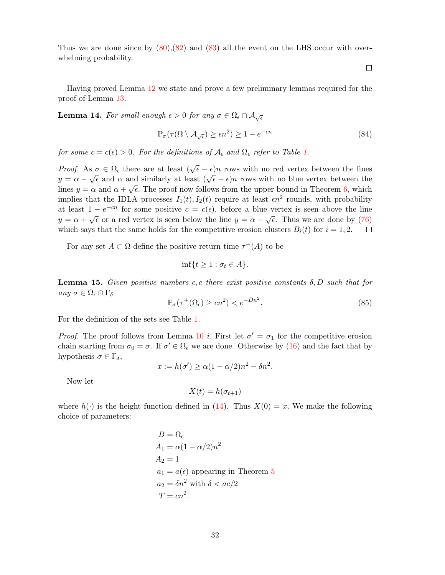Thus we are done since by  $(80),(82)$  $(80),(82)$  and  $(83)$  all the event on the LHS occur with overwhelming probability.

Having proved Lemma [12](#page-27-1) we state and prove a few preliminary lemmas required for the proof of Lemma [13.](#page-27-2)

<span id="page-31-0"></span>**Lemma 14.** For small enough  $\epsilon > 0$  for any  $\sigma \in \Omega_{\epsilon} \cap \mathcal{A}_{\sqrt{\epsilon}}$ 

$$
\mathbb{P}_{\sigma}(\tau(\Omega \setminus \mathcal{A}_{\sqrt{\epsilon}}) \ge \epsilon n^2) \ge 1 - e^{-cn} \tag{84}
$$

for some  $c = c(\epsilon) > 0$ . For the definitions of  $\mathcal{A}_{\epsilon}$  and  $\Omega_{\epsilon}$  refer to Table [1.](#page-9-1)

*Proof.* As  $\sigma \in \Omega_{\epsilon}$  there are at least  $(\sqrt{\epsilon}-\epsilon)n$  rows with no red vertex between the lines  $y = \alpha - \sqrt{\epsilon}$  and  $\alpha$  and similarly at least  $(\sqrt{\epsilon} - \epsilon)n$  rows with no blue vertex between the lines  $y = \alpha$  and  $\alpha + \sqrt{\epsilon}$ . The proof now follows from the upper bound in Theorem [6,](#page-28-0) which implies that the IDLA processes  $I_1(t)$ ,  $I_2(t)$  require at least  $\epsilon n^2$  rounds, with probability at least  $1 - e^{-cn}$  for some positive  $c = c(\epsilon)$ , before a blue vertex is seen above the line  $y = \alpha + \sqrt{\epsilon}$  or a red vertex is seen below the line  $y = \alpha - \sqrt{\epsilon}$ . Thus we are done by [\(76\)](#page-29-1) which says that the same holds for the competitive erosion clusters  $B_i(t)$  for  $i = 1, 2$ .  $\Box$ 

For any set  $A \subset \Omega$  define the positive return time  $\tau^+(A)$  to be

$$
\inf\{t\geq 1 : \sigma_t \in A\}.
$$

<span id="page-31-1"></span>**Lemma 15.** Given positive numbers  $\epsilon$ , c there exist positive constants  $\delta$ , D such that for any  $\sigma \in \Omega_{\epsilon} \cap \Gamma_{\delta}$ 

$$
\mathbb{P}_{\sigma}(\tau^{+}(\Omega_{\epsilon}) \ge cn^{2}) < e^{-Dn^{2}}.
$$
\n(85)

For the definition of the sets see Table [1.](#page-9-1)

*Proof.* The proof follows from Lemma [10](#page-25-1) i. First let  $\sigma' = \sigma_1$  for the competitive erosion chain starting from  $\sigma_0 = \sigma$ . If  $\sigma' \in \Omega_{\epsilon}$  we are done. Otherwise by [\(16\)](#page-9-5) and the fact that by hypothesis  $\sigma \in \Gamma_{\delta}$ ,

$$
x := h(\sigma') \ge \alpha(1 - \alpha/2)n^2 - \delta n^2.
$$

Now let

$$
X(t) = h(\sigma_{t+1})
$$

where  $h(\cdot)$  is the height function defined in [\(14\)](#page-9-3). Thus  $X(0) = x$ . We make the following choice of parameters:

$$
B = \Omega_{\epsilon}
$$
  
\n
$$
A_1 = \alpha(1 - \alpha/2)n^2
$$
  
\n
$$
A_2 = 1
$$
  
\n
$$
a_1 = a(\epsilon)
$$
 appearing in Theorem 5  
\n
$$
a_2 = \delta n^2
$$
 with  $\delta < ac/2$   
\n
$$
T = cn^2
$$
.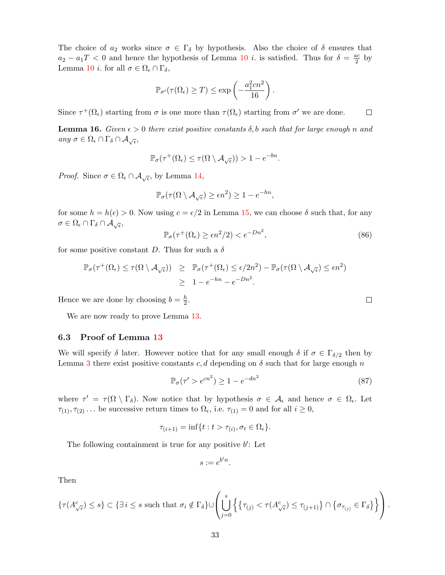The choice of  $a_2$  works since  $\sigma \in \Gamma_\delta$  by hypothesis. Also the choice of  $\delta$  ensures that  $a_2 - a_1 T < 0$  and hence the hypothesis of Lemma [10](#page-25-1) *i*. is satisfied. Thus for  $\delta = \frac{ac}{2}$  $rac{ic}{2}$  by Lemma [10](#page-25-1) *i*. for all  $\sigma \in \Omega_{\epsilon} \cap \Gamma_{\delta}$ ,

$$
\mathbb{P}_{\sigma'}(\tau(\Omega_{\epsilon}) \geq T) \leq \exp\left(-\frac{a_1^2 c n^2}{16}\right).
$$

Since  $\tau^+(\Omega_\epsilon)$  starting from  $\sigma$  is one more than  $\tau(\Omega_\epsilon)$  starting from  $\sigma'$  we are done.

<span id="page-32-1"></span>**Lemma 16.** Given  $\epsilon > 0$  there exist positive constants  $\delta$ , b such that for large enough n and any  $\sigma \in \Omega_{\epsilon} \cap \Gamma_{\delta} \cap \mathcal{A}_{\sqrt{\epsilon}},$ 

$$
\mathbb{P}_{\sigma}(\tau^+(\Omega_{\epsilon}) \leq \tau(\Omega \setminus \mathcal{A}_{\sqrt{\epsilon}})) > 1 - e^{-bn}.
$$

*Proof.* Since  $\sigma \in \Omega_{\epsilon} \cap \mathcal{A}_{\sqrt{\epsilon}}$ , by Lemma [14,](#page-31-0)

$$
\mathbb{P}_{\sigma}(\tau(\Omega \setminus \mathcal{A}_{\sqrt{\epsilon}}) \ge \epsilon n^2) \ge 1 - e^{-hn},
$$

for some  $h = h(\epsilon) > 0$ . Now using  $c = \epsilon/2$  in Lemma [15,](#page-31-1) we can choose  $\delta$  such that, for any  $\sigma\in \Omega_\epsilon\cap \Gamma_\delta\cap \mathcal{A}_{\sqrt{\epsilon}},$ 

$$
\mathbb{P}_{\sigma}(\tau^{+}(\Omega_{\epsilon}) \ge \epsilon n^{2}/2) < e^{-Dn^{2}},\tag{86}
$$

for some positive constant D. Thus for such a  $\delta$ 

$$
\mathbb{P}_{\sigma}(\tau^{+}(\Omega_{\epsilon}) \leq \tau(\Omega \setminus \mathcal{A}_{\sqrt{\epsilon}})) \geq \mathbb{P}_{\sigma}(\tau^{+}(\Omega_{\epsilon}) \leq \epsilon/2n^{2}) - \mathbb{P}_{\sigma}(\tau(\Omega \setminus \mathcal{A}_{\sqrt{\epsilon}}) \leq \epsilon n^{2})
$$
  

$$
\geq 1 - e^{-hn} - e^{-Dn^{2}}.
$$

Hence we are done by choosing  $b = \frac{h}{2}$  $\frac{h}{2}$ .

We are now ready to prove Lemma [13.](#page-27-2)

#### 6.3 Proof of Lemma [13](#page-27-2)

We will specify  $\delta$  later. However notice that for any small enough  $\delta$  if  $\sigma \in \Gamma_{\delta/2}$  then by Lemma [3](#page-10-2) there exist positive constants c, d depending on  $\delta$  such that for large enough n

<span id="page-32-0"></span>
$$
\mathbb{P}_{\sigma}(\tau' > e^{cn^2}) \ge 1 - e^{-dn^2} \tag{87}
$$

where  $\tau' = \tau(\Omega \setminus \Gamma_{\delta})$ . Now notice that by hypothesis  $\sigma \in A_{\epsilon}$  and hence  $\sigma \in \Omega_{\epsilon}$ . Let  $\tau_{(1)}, \tau_{(2)} \dots$  be successive return times to  $\Omega_{\epsilon}$ , i.e.  $\tau_{(1)} = 0$  and for all  $i \geq 0$ ,

$$
\tau_{(i+1)} = \inf\{t : t > \tau_{(i)}, \sigma_t \in \Omega_{\epsilon}\}.
$$

The following containment is true for any positive  $b'$ : Let

$$
s := e^{b'n}.
$$

Then

$$
\{\tau(A^c_{\sqrt{\epsilon}}) \leq s\} \subset \{\exists \, i \leq s \text{ such that } \sigma_i \notin \Gamma_{\delta}\} \cup \left(\bigcup_{j=0}^s \left\{\{\tau_{(j)} < \tau(A^c_{\sqrt{\epsilon}}) \leq \tau_{(j+1)}\} \cap \{\sigma_{\tau_{(j)}} \in \Gamma_{\delta}\}\right\}\right).
$$

 $\Box$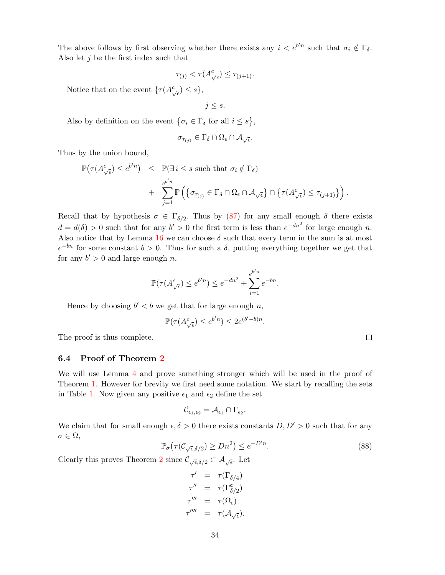The above follows by first observing whether there exists any  $i < e^{b'n}$  such that  $\sigma_i \notin \Gamma_{\delta}$ . Also let  $j$  be the first index such that

$$
\tau_{(j)} < \tau(A^c_{\sqrt{\epsilon}}) \le \tau_{(j+1)}.
$$

Notice that on the event  $\{\tau(A^c_{\sqrt{\epsilon}}) \leq s\},\$ 

 $j \leq s$ .

Also by definition on the event  $\{\sigma_i \in \Gamma_\delta \text{ for all } i \leq s\},\$ 

$$
\sigma_{\tau_{(j)}}\in \Gamma_\delta\cap \Omega_\epsilon\cap \mathcal{A}_{\sqrt{\epsilon}}.
$$

Thus by the union bound,

$$
\mathbb{P}(\tau(A^c_{\sqrt{\epsilon}}) \leq e^{b'n}) \leq \mathbb{P}(\exists i \leq s \text{ such that } \sigma_i \notin \Gamma_{\delta})
$$
  
+ 
$$
\sum_{j=1}^{e^{b'n}} \mathbb{P}(\{\sigma_{\tau(j)} \in \Gamma_{\delta} \cap \Omega_{\epsilon} \cap \mathcal{A}_{\sqrt{\epsilon}}\} \cap \{\tau(A^c_{\sqrt{\epsilon}}) \leq \tau_{(j+1)}\}).
$$

Recall that by hypothesis  $\sigma \in \Gamma_{\delta/2}$ . Thus by [\(87\)](#page-32-0) for any small enough  $\delta$  there exists  $d = d(\delta) > 0$  such that for any  $b' > 0$  the first term is less than  $e^{-dn^2}$  for large enough n. Also notice that by Lemma [16](#page-32-1) we can choose  $\delta$  such that every term in the sum is at most  $e^{-bn}$  for some constant  $b > 0$ . Thus for such a  $\delta$ , putting everything together we get that for any  $b' > 0$  and large enough n,

$$
\mathbb{P}(\tau(A_{\sqrt{\epsilon}}^c) \le e^{b'n}) \le e^{-dn^2} + \sum_{i=1}^{e^{b'n}} e^{-bn}.
$$

Hence by choosing  $b' < b$  we get that for large enough n,

$$
\mathbb{P}(\tau(A_{\sqrt{\epsilon}}^c) \le e^{b'n}) \le 2e^{(b'-b)n}.
$$

The proof is thus complete.

### 6.4 Proof of Theorem [2](#page-2-1)

We will use Lemma [4](#page-10-0) and prove something stronger which will be used in the proof of Theorem [1.](#page-1-1) However for brevity we first need some notation. We start by recalling the sets in Table [1.](#page-9-1) Now given any positive  $\epsilon_1$  and  $\epsilon_2$  define the set

$$
\mathcal{C}_{\epsilon_1,\epsilon_2}=\mathcal{A}_{\epsilon_1}\cap\Gamma_{\epsilon_2}.
$$

We claim that for small enough  $\epsilon, \delta > 0$  there exists constants  $D, D' > 0$  such that for any  $\sigma \in \Omega$ ,

<span id="page-33-0"></span>
$$
\mathbb{P}_{\sigma}\big(\tau(\mathcal{C}_{\sqrt{\epsilon},\delta/2}) \ge Dn^2\big) \le e^{-D'n}.\tag{88}
$$

Clearly this proves Theorem [2](#page-2-1) since  $\mathcal{C}_{\sqrt{\epsilon}, \delta/2} \subset \mathcal{A}_{\sqrt{\epsilon}}$ . Let

$$
\tau' = \tau(\Gamma_{\delta/4})
$$
  
\n
$$
\tau'' = \tau(\Gamma_{\delta/2}^c)
$$
  
\n
$$
\tau''' = \tau(\Omega_{\epsilon})
$$
  
\n
$$
\tau'''' = \tau(\mathcal{A}_{\sqrt{\epsilon}}).
$$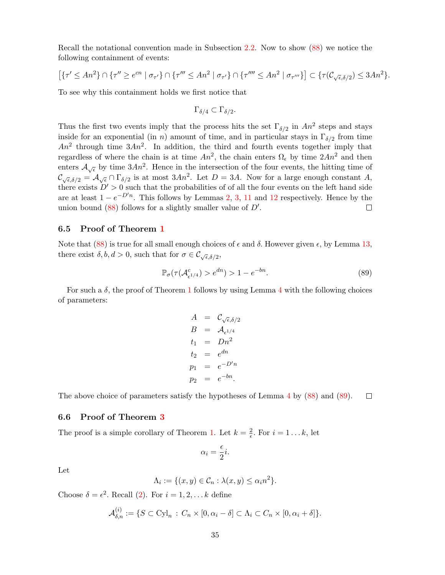Recall the notational convention made in Subsection [2.2.](#page-7-1) Now to show [\(88\)](#page-33-0) we notice the following containment of events:

$$
\left[\left\{\tau' \leq An^2\right\} \cap \left\{\tau'' \geq e^{cn} \mid \sigma_{\tau'}\right\} \cap \left\{\tau''' \leq An^2 \mid \sigma_{\tau'}\right\} \cap \left\{\tau'''' \leq An^2 \mid \sigma_{\tau'''}\right\}\right] \subset \left\{\tau(C_{\sqrt{\epsilon}, \delta/2}) \leq 3An^2\right\}.
$$

To see why this containment holds we first notice that

$$
\Gamma_{\delta/4}\subset \Gamma_{\delta/2}.
$$

Thus the first two events imply that the process hits the set  $\Gamma_{\delta/2}$  in  $An^2$  steps and stays inside for an exponential (in n) amount of time, and in particular stays in  $\Gamma_{\delta/2}$  from time  $An^2$  through time  $3An^2$ . In addition, the third and fourth events together imply that regardless of where the chain is at time  $An^2$ , the chain enters  $\Omega_{\epsilon}$  by time  $2An^2$  and then enters  $\mathcal{A}_{\sqrt{\epsilon}}$  by time  $3An^2$ . Hence in the intersection of the four events, the hitting time of  $\mathcal{C}_{\sqrt{\epsilon}, \delta/2} = \mathcal{A}_{\sqrt{\epsilon}} \cap \Gamma_{\delta/2}$  is at most  $3An^2$ . Let  $D = 3A$ . Now for a large enough constant A, there exists  $D' > 0$  such that the probabilities of of all the four events on the left hand side are at least  $1 - e^{-D'n}$ . This follows by Lemmas [2,](#page-10-1) [3,](#page-10-2) [11](#page-26-0) and [12](#page-27-1) respectively. Hence by the union bound  $(88)$  follows for a slightly smaller value of  $D'$ .  $\Box$ 

### 6.5 Proof of Theorem [1](#page-1-1)

Note that [\(88\)](#page-33-0) is true for all small enough choices of  $\epsilon$  and  $\delta$ . However given  $\epsilon$ , by Lemma [13,](#page-27-2) there exist  $\delta, b, d > 0$ , such that for  $\sigma \in \mathcal{C}_{\sqrt{\epsilon}, \delta/2}$ ,

<span id="page-34-0"></span>
$$
\mathbb{P}_{\sigma}(\tau(\mathcal{A}_{\epsilon^{1/4}}^c) > e^{dn}) > 1 - e^{-bn}.
$$
\n
$$
(89)
$$

For such a  $\delta$ , the proof of Theorem [1](#page-1-1) follows by using Lemma [4](#page-10-0) with the following choices of parameters:

$$
A = C_{\sqrt{\epsilon}, \delta/2}
$$
  
\n
$$
B = A_{\epsilon^{1/4}}
$$
  
\n
$$
t_1 = Dn^2
$$
  
\n
$$
t_2 = e^{dn}
$$
  
\n
$$
p_1 = e^{-D'n}
$$
  
\n
$$
p_2 = e^{-bn}
$$

The above choice of parameters satisfy the hypotheses of Lemma [4](#page-10-0) by [\(88\)](#page-33-0) and [\(89\)](#page-34-0).  $\Box$ 

### 6.6 Proof of Theorem [3](#page-5-0)

The proof is a simple corollary of Theorem [1.](#page-1-1) Let  $k = \frac{2}{5}$  $\frac{2}{\epsilon}$ . For  $i = 1...k$ , let

$$
\alpha_i = \frac{\epsilon}{2}i.
$$

Let

$$
\Lambda_i := \{ (x, y) \in C_n : \lambda(x, y) \le \alpha_i n^2 \}.
$$

Choose  $\delta = \epsilon^2$ . Recall [\(2\)](#page-1-2). For  $i = 1, 2, \ldots k$  define

$$
\mathcal{A}_{\delta,n}^{(i)} := \{ S \subset \text{Cyl}_n : C_n \times [0, \alpha_i - \delta] \subset \Lambda_i \subset C_n \times [0, \alpha_i + \delta] \}.
$$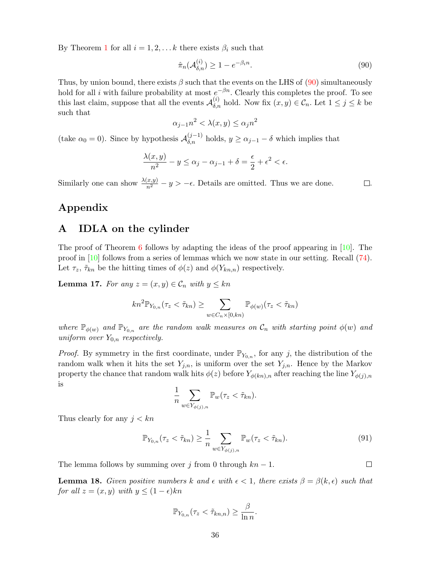By Theorem [1](#page-1-1) for all  $i = 1, 2, \ldots k$  there exists  $\beta_i$  such that

$$
\hat{\pi}_n(\mathcal{A}_{\delta,n}^{(i)}) \ge 1 - e^{-\beta_i n}.\tag{90}
$$

Thus, by union bound, there exists  $\beta$  such that the events on the LHS of [\(90\)](#page-35-1) simultaneously hold for all i with failure probability at most  $e^{-\beta n}$ . Clearly this completes the proof. To see this last claim, suppose that all the events  $\mathcal{A}_{\delta,n}^{(i)}$  hold. Now fix  $(x, y) \in \mathcal{C}_n$ . Let  $1 \leq j \leq k$  be such that

$$
\alpha_{j-1}n^2 < \lambda(x, y) \le \alpha_j n^2
$$

(take  $\alpha_0 = 0$ ). Since by hypothesis  $\mathcal{A}_{\delta,n}^{(j-1)}$  holds,  $y \ge \alpha_{j-1} - \delta$  which implies that

$$
\frac{\lambda(x,y)}{n^2} - y \le \alpha_j - \alpha_{j-1} + \delta = \frac{\epsilon}{2} + \epsilon^2 < \epsilon.
$$

Similarly one can show  $\frac{\lambda(x,y)}{n^2} - y > -\epsilon$ . Details are omitted. Thus we are done.  $\Box$ .

<span id="page-35-1"></span>

# Appendix

# <span id="page-35-0"></span>A IDLA on the cylinder

The proof of Theorem [6](#page-28-0) follows by adapting the ideas of the proof appearing in  $[10]$ . The proof in [\[10\]](#page-46-1) follows from a series of lemmas which we now state in our setting. Recall [\(74\)](#page-28-1). Let  $\tau_z$ ,  $\tilde{\tau}_{kn}$  be the hitting times of  $\phi(z)$  and  $\phi(Y_{kn,n})$  respectively.

<span id="page-35-2"></span>**Lemma 17.** For any  $z = (x, y) \in C_n$  with  $y \leq kn$ 

$$
kn^2\mathbb{P}_{Y_{0,n}}(\tau_z < \tilde{\tau}_{kn}) \ge \sum_{w \in C_n \times [0, kn)} \mathbb{P}_{\phi(w)}(\tau_z < \tilde{\tau}_{kn})
$$

where  $\mathbb{P}_{\phi(w)}$  and  $\mathbb{P}_{Y_{0,n}}$  are the random walk measures on  $\mathcal{C}_n$  with starting point  $\phi(w)$  and uniform over  $Y_{0,n}$  respectively.

*Proof.* By symmetry in the first coordinate, under  $\mathbb{P}_{Y_{0,n}}$ , for any j, the distribution of the random walk when it hits the set  $Y_{j,n}$ , is uniform over the set  $Y_{j,n}$ . Hence by the Markov property the chance that random walk hits  $\phi(z)$  before  $Y_{\phi(kn),n}$  after reaching the line  $Y_{\phi(j),n}$ is

$$
\frac{1}{n} \sum_{w \in Y_{\phi(j),n}} \mathbb{P}_w(\tau_z < \tilde{\tau}_{kn}).
$$

Thus clearly for any  $j < kn$ 

$$
\mathbb{P}_{Y_{0,n}}(\tau_z < \tilde{\tau}_{kn}) \ge \frac{1}{n} \sum_{w \in Y_{\phi(j),n}} \mathbb{P}_w(\tau_z < \tilde{\tau}_{kn}).\tag{91}
$$

The lemma follows by summing over j from 0 through  $kn - 1$ .

<span id="page-35-3"></span>**Lemma 18.** Given positive numbers k and  $\epsilon$  with  $\epsilon < 1$ , there exists  $\beta = \beta(k, \epsilon)$  such that for all  $z = (x, y)$  with  $y \leq (1 - \epsilon)kn$ 

$$
\mathbb{P}_{Y_{0,n}}(\tau_z < \tilde{\tau}_{kn,n}) \geq \frac{\beta}{\ln n}.
$$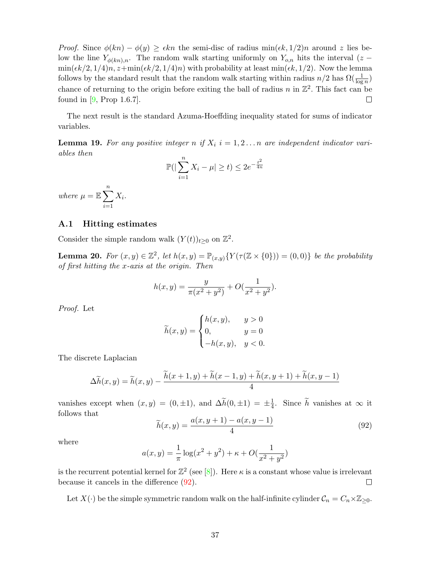*Proof.* Since  $\phi(kn) - \phi(y) \geq \epsilon k n$  the semi-disc of radius min $(\epsilon k, 1/2)n$  around z lies below the line  $Y_{\phi(kn),n}$ . The random walk starting uniformly on  $Y_{o,n}$  hits the interval (z −  $\min(\epsilon k/2, 1/4)n, z+\min(\epsilon k/2, 1/4)n$  with probability at least  $\min(\epsilon k, 1/2)$ . Now the lemma follows by the standard result that the random walk starting within radius  $n/2$  has  $\Omega(\frac{1}{\log n})$ chance of returning to the origin before exiting the ball of radius n in  $\mathbb{Z}^2$ . This fact can be found in  $[9,$  Prop 1.6.7.].  $\Box$ 

The next result is the standard Azuma-Hoeffding inequality stated for sums of indicator variables.

<span id="page-36-2"></span>**Lemma 19.** For any positive integer n if  $X_i$   $i = 1, 2...n$  are independent indicator variables then

$$
\mathbb{P}(|\sum_{i=1}^{n} X_i - \mu| \ge t) \le 2e^{-\frac{t^2}{4n}}
$$

where  $\mu = \mathbb{E} \sum_{n=1}^{\infty}$  $i=1$  $X_i$ .

#### A.1 Hitting estimates

Consider the simple random walk  $(Y(t))_{t\geq 0}$  on  $\mathbb{Z}^2$ .

<span id="page-36-1"></span>**Lemma 20.** For  $(x, y) \in \mathbb{Z}^2$ , let  $h(x, y) = \mathbb{P}_{(x, y)}\{Y(\tau(\mathbb{Z} \times \{0\})) = (0, 0)\}\)$  be the probability of first hitting the x-axis at the origin. Then

$$
h(x,y) = \frac{y}{\pi(x^2 + y^2)} + O(\frac{1}{x^2 + y^2}).
$$

Proof. Let

$$
\widetilde{h}(x,y) = \begin{cases} h(x,y), & y > 0 \\ 0, & y = 0 \\ -h(x,y), & y < 0. \end{cases}
$$

The discrete Laplacian

$$
\Delta \widetilde{h}(x, y) = \widetilde{h}(x, y) - \frac{\widetilde{h}(x + 1, y) + \widetilde{h}(x - 1, y) + \widetilde{h}(x, y + 1) + \widetilde{h}(x, y - 1)}{4}
$$

vanishes except when  $(x, y) = (0, \pm 1)$ , and  $\Delta \widetilde{h}(0, \pm 1) = \pm \frac{1}{4}$  $\frac{1}{4}$ . Since h vanishes at  $\infty$  it follows that

<span id="page-36-0"></span>
$$
\widetilde{h}(x,y) = \frac{a(x,y+1) - a(x,y-1)}{4}
$$
\n(92)

where

$$
a(x,y) = \frac{1}{\pi} \log(x^2 + y^2) + \kappa + O(\frac{1}{x^2 + y^2})
$$

is the recurrent potential kernel for  $\mathbb{Z}^2$  (see [\[8\]](#page-46-14)). Here  $\kappa$  is a constant whose value is irrelevant because it cancels in the difference [\(92\)](#page-36-0).  $\Box$ 

Let  $X(\cdot)$  be the simple symmetric random walk on the half-infinite cylinder  $C_n = C_n \times \mathbb{Z}_{\geq 0}$ .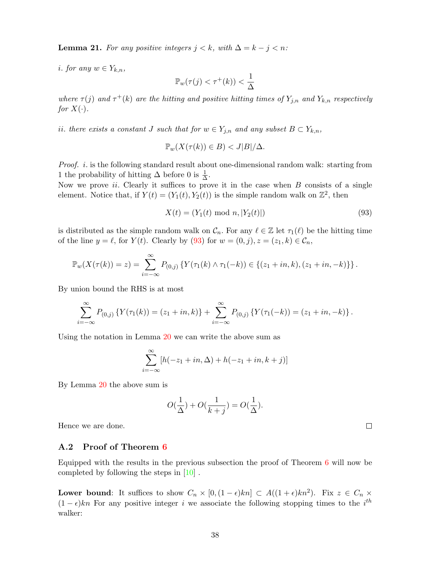<span id="page-37-1"></span>**Lemma 21.** For any positive integers  $j < k$ , with  $\Delta = k - j < n$ :

i. for any  $w \in Y_{k,n}$ ,

$$
\mathbb{P}_w(\tau(j) < \tau^+(k)) < \frac{1}{\Delta}
$$

where  $\tau(j)$  and  $\tau^+(k)$  are the hitting and positive hitting times of  $Y_{j,n}$  and  $Y_{k,n}$  respectively for  $X(\cdot)$ .

ii. there exists a constant J such that for  $w \in Y_{j,n}$  and any subset  $B \subset Y_{k,n}$ ,

$$
\mathbb{P}_w(X(\tau(k)) \in B) < J|B|/\Delta.
$$

Proof. *i*. is the following standard result about one-dimensional random walk: starting from 1 the probability of hitting  $\Delta$  before 0 is  $\frac{1}{\Delta}$ .

Now we prove *ii*. Clearly it suffices to prove it in the case when  $B$  consists of a single element. Notice that, if  $Y(t) = (Y_1(t), Y_2(t))$  is the simple random walk on  $\mathbb{Z}^2$ , then

<span id="page-37-0"></span>
$$
X(t) = (Y_1(t) \text{ mod } n, |Y_2(t)|)
$$
\n(93)

is distributed as the simple random walk on  $\mathcal{C}_n$ . For any  $\ell \in \mathbb{Z}$  let  $\tau_1(\ell)$  be the hitting time of the line  $y = \ell$ , for  $Y(t)$ . Clearly by [\(93\)](#page-37-0) for  $w = (0, j), z = (z_1, k) \in \mathcal{C}_n$ ,

$$
\mathbb{P}_w(X(\tau(k)) = z) = \sum_{i=-\infty}^{\infty} P_{(0,j)} \left\{ Y(\tau_1(k) \wedge \tau_1(-k)) \in \{(z_1 + in, k), (z_1 + in, -k)\} \right\}.
$$

By union bound the RHS is at most

$$
\sum_{i=-\infty}^{\infty} P_{(0,j)} \left\{ Y(\tau_1(k)) = (z_1 + in, k) \right\} + \sum_{i=-\infty}^{\infty} P_{(0,j)} \left\{ Y(\tau_1(-k)) = (z_1 + in, -k) \right\}.
$$

Using the notation in Lemma [20](#page-36-1) we can write the above sum as

$$
\sum_{i=-\infty}^{\infty} [h(-z_1+in,\Delta) + h(-z_1+in,k+j)]
$$

By Lemma [20](#page-36-1) the above sum is

$$
O(\frac{1}{\Delta}) + O(\frac{1}{k+j}) = O(\frac{1}{\Delta}).
$$

Hence we are done.

### A.2 Proof of Theorem [6](#page-28-0)

Equipped with the results in the previous subsection the proof of Theorem  $6$  will now be completed by following the steps in [\[10\]](#page-46-1) .

**Lower bound:** It suffices to show  $C_n \times [0, (1-\epsilon)kn] \subset A((1+\epsilon)kn^2)$ . Fix  $z \in C_n \times$  $(1 - \epsilon)kn$  For any positive integer i we associate the following stopping times to the i<sup>th</sup> walker: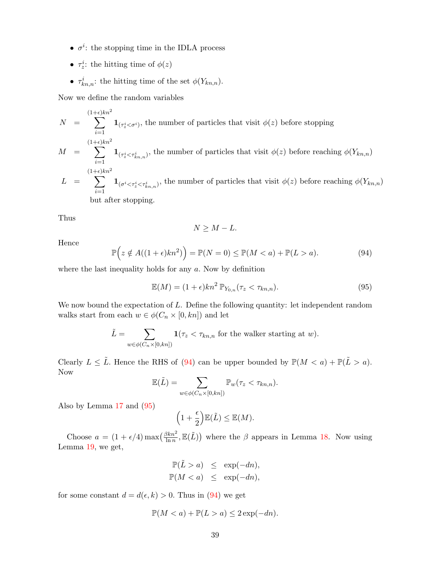- $\sigma^i$ : the stopping time in the IDLA process
- $\tau_z^i$ : the hitting time of  $\phi(z)$
- $\tau_{kn,n}^i$ : the hitting time of the set  $\phi(Y_{kn,n})$ .

Now we define the random variables

$$
N = \sum_{i=1}^{(1+\epsilon)kn^2} \mathbf{1}_{(\tau_z^i < \sigma^i)},
$$
 the number of particles that visit  $\phi(z)$  before stopping  
\n
$$
M = \sum_{i=1}^{(1+\epsilon)kn^2} \mathbf{1}_{(\tau_z^i < \tau_{kn,n}^i)},
$$
 the number of particles that visit  $\phi(z)$  before reaching  $\phi(Y_{kn,n})$   
\n
$$
\phi(Y_{kn,n})
$$
\n
$$
\phi(Y_{kn,n})
$$

 $L = \sum^{(1+\epsilon)kn^2}$  $i=1$  $1_{(\sigma^i \leq \tau^i_{\xi} \leq \tau^i_{kn,n})}$ , the number of particles that visit  $\phi(z)$  before reaching  $\phi(Y_{kn,n})$ but after stopping.

Thus

$$
N \geq M - L.
$$

Hence

<span id="page-38-0"></span>
$$
\mathbb{P}\Big(z \notin A((1+\epsilon)kn^2)\Big) = \mathbb{P}(N=0) \le \mathbb{P}(M < a) + \mathbb{P}(L > a). \tag{94}
$$

where the last inequality holds for any  $a$ . Now by definition

<span id="page-38-1"></span>
$$
\mathbb{E}(M) = (1+\epsilon)kn^2 \, \mathbb{P}_{Y_{0,n}}(\tau_z < \tau_{kn,n}).\tag{95}
$$

We now bound the expectation of  $L$ . Define the following quantity: let independent random walks start from each  $w \in \phi(C_n \times [0,kn])$  and let

$$
\tilde{L} = \sum_{w \in \phi(C_n \times [0, kn])} \mathbf{1}(\tau_z < \tau_{kn,n} \text{ for the walker starting at } w).
$$

Clearly  $L \leq \tilde{L}$ . Hence the RHS of [\(94\)](#page-38-0) can be upper bounded by  $\mathbb{P}(M < a) + \mathbb{P}(\tilde{L} > a)$ . Now

$$
\mathbb{E}(\tilde{L}) = \sum_{w \in \phi(C_n \times [0, kn])} \mathbb{P}_w(\tau_z < \tau_{kn,n}).
$$

Also by Lemma [17](#page-35-2) and [\(95\)](#page-38-1)

$$
\left(1+\frac{\epsilon}{2}\right)\mathbb{E}(\tilde{L})\leq \mathbb{E}(M).
$$

Choose  $a = (1 + \epsilon/4) \max\left(\frac{\beta k n^2}{\ln n}\right)$  $\frac{3kn^2}{\ln n}$ ,  $\mathbb{E}(\tilde{L})$  where the  $\beta$  appears in Lemma [18.](#page-35-3) Now using Lemma [19,](#page-36-2) we get,

$$
\mathbb{P}(\tilde{L} > a) \le \exp(-dn),
$$
  

$$
\mathbb{P}(M < a) \le \exp(-dn),
$$

for some constant  $d = d(\epsilon, k) > 0$ . Thus in [\(94\)](#page-38-0) we get

$$
\mathbb{P}(M < a) + \mathbb{P}(L > a) \le 2\exp(-dn).
$$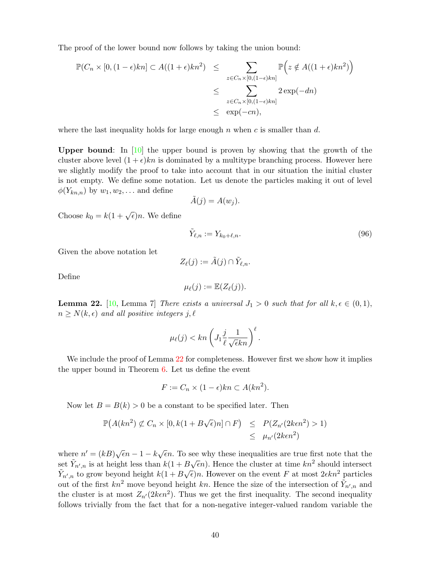The proof of the lower bound now follows by taking the union bound:

$$
\mathbb{P}(C_n \times [0, (1-\epsilon)kn] \subset A((1+\epsilon)kn^2) \le \sum_{z \in C_n \times [0, (1-\epsilon)kn]} \mathbb{P}\Big(z \notin A((1+\epsilon)kn^2)\Big)
$$
  

$$
\le \sum_{z \in C_n \times [0, (1-\epsilon)kn]} 2 \exp(-dn)
$$
  

$$
\le \exp(-cn),
$$

where the last inequality holds for large enough n when c is smaller than d.

Upper bound: In  $[10]$  the upper bound is proven by showing that the growth of the cluster above level  $(1 + \epsilon)kn$  is dominated by a multitype branching process. However here we slightly modify the proof to take into account that in our situation the initial cluster is not empty. We define some notation. Let us denote the particles making it out of level  $\phi(Y_{kn,n})$  by  $w_1, w_2, \ldots$  and define

$$
\tilde{A}(j) = A(w_j).
$$

Choose  $k_0 = k(1 + \sqrt{\epsilon})n$ . We define

$$
\tilde{Y}_{\ell,n} := Y_{k_0+\ell,n}.\tag{96}
$$

Given the above notation let

$$
Z_{\ell}(j) := \tilde{A}(j) \cap \tilde{Y}_{\ell,n}.
$$

Define

$$
\mu_{\ell}(j) := \mathbb{E}(Z_{\ell}(j)).
$$

<span id="page-39-0"></span>**Lemma 22.** [\[10,](#page-46-1) Lemma 7] There exists a universal  $J_1 > 0$  such that for all  $k, \epsilon \in (0, 1)$ ,  $n \geq N(k, \epsilon)$  and all positive integers j,  $\ell$ 

$$
\mu_{\ell}(j) < kn \left( J_1 \frac{j}{\ell} \frac{1}{\sqrt{\epsilon}kn} \right)^{\ell}.
$$

We include the proof of Lemma [22](#page-39-0) for completeness. However first we show how it implies the upper bound in Theorem [6.](#page-28-0) Let us define the event

$$
F := C_n \times (1 - \epsilon)kn \subset A(kn^2).
$$

Now let  $B = B(k) > 0$  be a constant to be specified later. Then

$$
\mathbb{P}(A(kn^2) \not\subset C_n \times [0, k(1 + B\sqrt{\epsilon})n] \cap F) \leq P(Z_{n'}(2k\epsilon n^2) > 1)
$$
  

$$
\leq \mu_{n'}(2k\epsilon n^2)
$$

where  $n' = (kB)\sqrt{\epsilon}n - 1 - k\sqrt{\epsilon}n$ . To see why these inequalities are true first note that the set  $\tilde{Y}_{n',n}$  is at height less than  $k(1 + B\sqrt{\epsilon}n)$ . Hence the cluster at time  $kn^2$  should intersect  $\tilde{Y}_{n',n}$  to grow beyond height  $k(1 + B\sqrt{\epsilon})n$ . However on the event F at most  $2\epsilon k n^2$  particles out of the first  $kn^2$  move beyond height kn. Hence the size of the intersection of  $\tilde{Y}_{n',n}$  and the cluster is at most  $Z_{n'}(2k\epsilon n^2)$ . Thus we get the first inequality. The second inequality follows trivially from the fact that for a non-negative integer-valued random variable the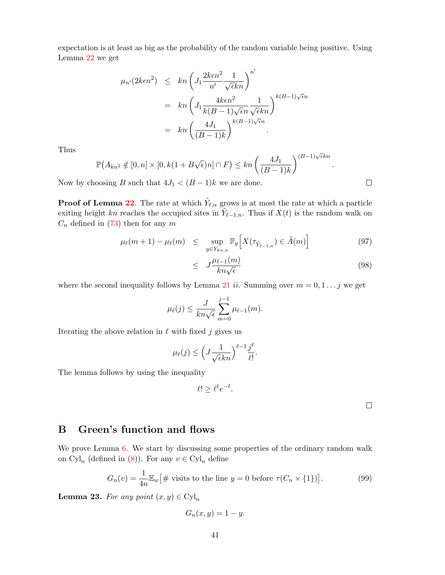expectation is at least as big as the probability of the random variable being positive. Using Lemma [22](#page-39-0) we get

$$
\mu_{n'}(2\kappa\epsilon n^2) \leq kn \left( J_1 \frac{2\kappa\epsilon n^2}{n'} \frac{1}{\sqrt{\epsilon k n}} \right)^{n'}
$$
  
=  $kn \left( J_1 \frac{4\kappa\epsilon n^2}{k(B-1)\sqrt{\epsilon n}} \frac{1}{\sqrt{\epsilon k n}} \right)^{k(B-1)\sqrt{\epsilon n}}$   
=  $kn \left( \frac{4J_1}{(B-1)k} \right)^{k(B-1)\sqrt{\epsilon n}}$ .

Thus

$$
\mathbb{P}(A_{kn^2} \notin [0,n] \times [0,k(1+B\sqrt{\epsilon})n] \cap F) \le kn \left(\frac{4J_1}{(B-1)k}\right)^{(B-1)\sqrt{\epsilon}kn}
$$

Now by choosing B such that  $4J_1 < (B-1)k$  we are done.

**Proof of Lemma [22](#page-39-0)**. The rate at which  $\tilde{Y}_{\ell,n}$  grows is at most the rate at which a particle exiting height kn reaches the occupied sites in  $\tilde{Y}_{\ell-1,n}$ . Thus if  $X(t)$  is the random walk on  $C_n$  defined in [\(73\)](#page-28-2) then for any m

$$
\mu_{\ell}(m+1) - \mu_{\ell}(m) \leq \sup_{y \in Y_{kn,n}} \mathbb{P}_y \Big[ X(\tau_{\tilde{Y}_{\ell-1,n}}) \in \tilde{A}(m) \Big] \tag{97}
$$

$$
\leq J \frac{\mu_{\ell-1}(m)}{kn\sqrt{\epsilon}} \tag{98}
$$

where the second inequality follows by Lemma [21](#page-37-1) ii. Summing over  $m = 0, 1, \ldots j$  we get

$$
\mu_{\ell}(j) \leq \frac{J}{kn\sqrt{\epsilon}} \sum_{m=0}^{j-1} \mu_{\ell-1}(m).
$$

Iterating the above relation in  $\ell$  with fixed j gives us

$$
\mu_{\ell}(j) \le \left(J\frac{1}{\sqrt{\epsilon}kn}\right)^{\ell-1}\frac{j^{\ell}}{\ell!}.
$$

The lemma follows by using the inequality

$$
\ell! \geq \ell^{\ell} e^{-\ell}.
$$

 $\Box$ 

# <span id="page-40-0"></span>B Green's function and flows

We prove Lemma [6.](#page-14-0) We start by discussing some properties of the ordinary random walk on  $Cyl_n$  (defined in [\(8\)](#page-5-1)). For any  $v \in Cyl_n$  define

$$
G_n(v) = \frac{1}{4n} \mathbb{E}_w \left[ \# \text{ visits to the line } y = 0 \text{ before } \tau(C_n \times \{1\}) \right]. \tag{99}
$$

**Lemma 23.** For any point  $(x, y) \in Cyl_n$ 

$$
G_n(x, y) = 1 - y.
$$

 $\Box$ 

.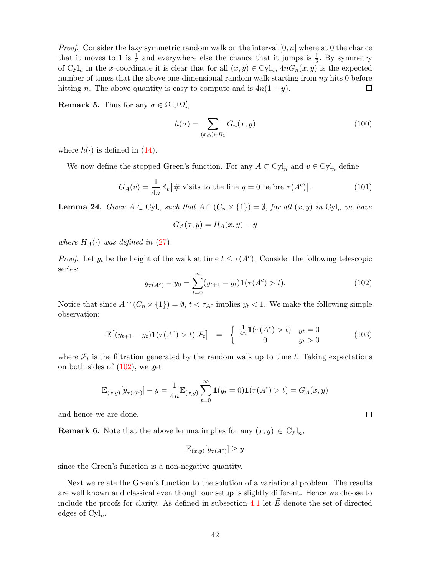*Proof.* Consider the lazy symmetric random walk on the interval  $[0, n]$  where at 0 the chance that it moves to 1 is  $\frac{1}{4}$  and everywhere else the chance that it jumps is  $\frac{1}{2}$ . By symmetry of  $Cyl_n$  in the x-coordinate it is clear that for all  $(x, y) \in Cyl_n$ ,  $4nG_n(x, y)$  is the expected number of times that the above one-dimensional random walk starting from ny hits 0 before hitting *n*. The above quantity is easy to compute and is  $4n(1 - y)$ .  $\Box$ 

**Remark 5.** Thus for any  $\sigma \in \Omega \cup \Omega'_n$ 

$$
h(\sigma) = \sum_{(x,y)\in B_1} G_n(x,y) \tag{100}
$$

where  $h(\cdot)$  is defined in [\(14\)](#page-9-3).

We now define the stopped Green's function. For any  $A \subset \mathrm{Cyl}_n$  and  $v \in \mathrm{Cyl}_n$  define

<span id="page-41-1"></span>
$$
G_A(v) = \frac{1}{4n} \mathbb{E}_v \left[ \# \text{ visits to the line } y = 0 \text{ before } \tau(A^c) \right]. \tag{101}
$$

<span id="page-41-2"></span>**Lemma 24.** Given  $A \subset \text{Cyl}_n$  such that  $A \cap (C_n \times \{1\}) = \emptyset$ , for all  $(x, y)$  in  $\text{Cyl}_n$  we have

$$
G_A(x, y) = H_A(x, y) - y
$$

where  $H_A(\cdot)$  was defined in [\(27\)](#page-12-6).

*Proof.* Let  $y_t$  be the height of the walk at time  $t \leq \tau(A^c)$ . Consider the following telescopic series:

<span id="page-41-0"></span>
$$
y_{\tau(A^c)} - y_0 = \sum_{t=0}^{\infty} (y_{t+1} - y_t) \mathbf{1}(\tau(A^c) > t).
$$
 (102)

 $\Box$ 

Notice that since  $A \cap (C_n \times \{1\}) = \emptyset$ ,  $t < \tau_{A^c}$  implies  $y_t < 1$ . We make the following simple observation:

$$
\mathbb{E}\left[\left(y_{t+1}-y_t\right)\mathbf{1}\left(\tau(A^c) > t\right)|\mathcal{F}_t\right] = \begin{cases} \frac{1}{4n}\mathbf{1}\left(\tau(A^c) > t\right) & y_t = 0\\ 0 & y_t > 0 \end{cases} \tag{103}
$$

where  $\mathcal{F}_t$  is the filtration generated by the random walk up to time t. Taking expectations on both sides of  $(102)$ , we get

$$
\mathbb{E}_{(x,y)}[y_{\tau(A^c)}] - y = \frac{1}{4n} \mathbb{E}_{(x,y)} \sum_{t=0}^{\infty} \mathbf{1}(y_t = 0) \mathbf{1}(\tau(A^c) > t) = G_A(x,y)
$$

and hence we are done.

**Remark 6.** Note that the above lemma implies for any  $(x, y) \in \text{Cyl}_n$ ,

$$
\mathbb{E}_{(x,y)}[y_{\tau(A^c)}] \geq y
$$

since the Green's function is a non-negative quantity.

Next we relate the Green's function to the solution of a variational problem. The results are well known and classical even though our setup is slightly different. Hence we choose to include the proofs for clarity. As defined in subsection [4.1](#page-13-1) let  $\vec{E}$  denote the set of directed edges of  $Cyl_n$ .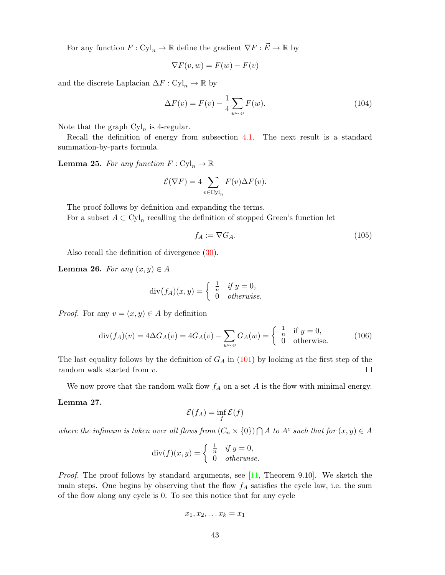For any function  $F: \text{Cyl}_n \to \mathbb{R}$  define the gradient  $\nabla F: \vec{E} \to \mathbb{R}$  by

$$
\nabla F(v, w) = F(w) - F(v)
$$

and the discrete Laplacian  $\Delta F : \mathrm{Cyl}_n \to \mathbb{R}$  by

$$
\Delta F(v) = F(v) - \frac{1}{4} \sum_{w \sim v} F(w). \tag{104}
$$

Note that the graph  $\text{Cyl}_n$  is 4-regular.

Recall the definition of energy from subsection [4.1.](#page-13-1) The next result is a standard summation-by-parts formula.

<span id="page-42-0"></span>**Lemma 25.** For any function  $F: \mathrm{Cyl}_n \to \mathbb{R}$ 

$$
\mathcal{E}(\nabla F) = 4 \sum_{v \in \text{Cyl}_n} F(v) \Delta F(v).
$$

The proof follows by definition and expanding the terms. For a subset  $A \subset \mathrm{Cyl}_n$  recalling the definition of stopped Green's function let

$$
f_A := \nabla G_A. \tag{105}
$$

Also recall the definition of divergence [\(30\)](#page-13-2).

Lemma 26. For any  $(x, y) \in A$ 

$$
\operatorname{div}(f_A)(x, y) = \begin{cases} \frac{1}{n} & \text{if } y = 0, \\ 0 & \text{otherwise.} \end{cases}
$$

*Proof.* For any  $v = (x, y) \in A$  by definition

<span id="page-42-1"></span>
$$
\operatorname{div}(f_A)(v) = 4\Delta G_A(v) = 4G_A(v) - \sum_{w \sim v} G_A(w) = \begin{cases} \frac{1}{n} & \text{if } y = 0, \\ 0 & \text{otherwise.} \end{cases} \tag{106}
$$

The last equality follows by the definition of  $G_A$  in [\(101\)](#page-41-1) by looking at the first step of the random walk started from v.  $\Box$ 

We now prove that the random walk flow  $f_A$  on a set A is the flow with minimal energy.

### <span id="page-42-2"></span>Lemma 27.

$$
\mathcal{E}(f_A) = \inf_f \mathcal{E}(f)
$$

where the infimum is taken over all flows from  $(C_n \times \{0\}) \cap A$  to  $A^c$  such that for  $(x, y) \in A$ 

$$
\operatorname{div}(f)(x, y) = \begin{cases} \frac{1}{n} & \text{if } y = 0, \\ 0 & \text{otherwise.} \end{cases}
$$

*Proof.* The proof follows by standard arguments, see  $[11,$  Theorem 9.10. We sketch the main steps. One begins by observing that the flow  $f_A$  satisfies the cycle law, i.e. the sum of the flow along any cycle is 0. To see this notice that for any cycle

$$
x_1, x_2, \ldots x_k = x_1
$$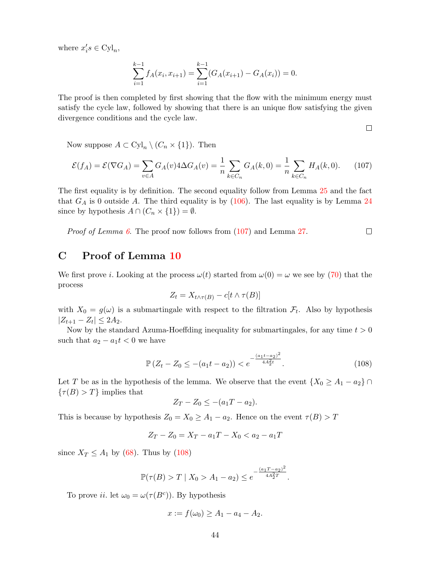where  $x_i's \in Cyl_n$ ,

$$
\sum_{i=1}^{k-1} f_A(x_i, x_{i+1}) = \sum_{i=1}^{k-1} (G_A(x_{i+1}) - G_A(x_i)) = 0.
$$

The proof is then completed by first showing that the flow with the minimum energy must satisfy the cycle law, followed by showing that there is an unique flow satisfying the given divergence conditions and the cycle law.

 $\Box$ 

Now suppose  $A \subset \mathrm{Cyl}_n \setminus (C_n \times \{1\})$ . Then

<span id="page-43-1"></span>
$$
\mathcal{E}(f_A) = \mathcal{E}(\nabla G_A) = \sum_{v \in A} G_A(v) 4\Delta G_A(v) = \frac{1}{n} \sum_{k \in C_n} G_A(k, 0) = \frac{1}{n} \sum_{k \in C_n} H_A(k, 0). \tag{107}
$$

The first equality is by definition. The second equality follow from Lemma [25](#page-42-0) and the fact that  $G_A$  is 0 outside A. The third equality is by  $(106)$ . The last equality is by Lemma [24](#page-41-2) since by hypothesis  $A \cap (C_n \times \{1\}) = \emptyset$ .

Proof of Lemma [6](#page-14-0). The proof now follows from  $(107)$  and Lemma [27.](#page-42-2)  $\Box$ 

# <span id="page-43-0"></span>C Proof of Lemma [10](#page-25-1)

We first prove *i*. Looking at the process  $\omega(t)$  started from  $\omega(0) = \omega$  we see by [\(70\)](#page-25-2) that the process

$$
Z_t = X_{t \wedge \tau(B)} - c[t \wedge \tau(B)]
$$

with  $X_0 = g(\omega)$  is a submartingale with respect to the filtration  $\mathcal{F}_t$ . Also by hypothesis  $|Z_{t+1} - Z_t| \leq 2A_2.$ 

Now by the standard Azuma-Hoeffding inequality for submartingales, for any time  $t > 0$ such that  $a_2 - a_1 t < 0$  we have

<span id="page-43-2"></span>
$$
\mathbb{P}\left(Z_t - Z_0 \le -(a_1 t - a_2)\right) < e^{-\frac{(a_1 t - a_2)^2}{4A_2^2 t}}.\tag{108}
$$

Let T be as in the hypothesis of the lemma. We observe that the event  $\{X_0 \ge A_1 - a_2\} \cap$  $\{\tau(B) > T\}$  implies that

$$
Z_T - Z_0 \leq -(a_1T - a_2).
$$

This is because by hypothesis  $Z_0 = X_0 \ge A_1 - a_2$ . Hence on the event  $\tau(B) > T$ 

$$
Z_T - Z_0 = X_T - a_1T - X_0 < a_2 - a_1T
$$

since  $X_T \leq A_1$  by [\(68\)](#page-25-3). Thus by [\(108\)](#page-43-2)

$$
\mathbb{P}(\tau(B) > T \mid X_0 > A_1 - a_2) \le e^{-\frac{(a_1 T - a_2)^2}{4A_2^2 T}}.
$$

To prove *ii*. let  $\omega_0 = \omega(\tau(B^c))$ . By hypothesis

$$
x := f(\omega_0) \ge A_1 - a_4 - A_2.
$$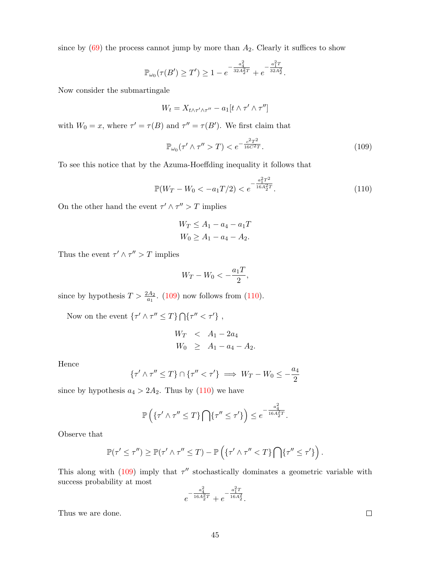since by  $(69)$  the process cannot jump by more than  $A_2$ . Clearly it suffices to show

$$
\mathbb{P}_{\omega_0}(\tau(B') \ge T') \ge 1 - e^{-\frac{a_4^2}{32A_2^2T}} + e^{-\frac{a_1^2T}{32A_2^2}}.
$$

Now consider the submartingale

$$
W_t = X_{t \wedge \tau' \wedge \tau''} - a_1[t \wedge \tau' \wedge \tau'']
$$

with  $W_0 = x$ , where  $\tau' = \tau(B)$  and  $\tau'' = \tau(B')$ . We first claim that

<span id="page-44-0"></span>
$$
\mathbb{P}_{\omega_0}(\tau' \wedge \tau'' > T) < e^{-\frac{c^2 T^2}{16C^2 T}}.\tag{109}
$$

To see this notice that by the Azuma-Hoeffding inequality it follows that

<span id="page-44-1"></span>
$$
\mathbb{P}(W_T - W_0 < -a_1 T/2) < e^{-\frac{a_1^2 T^2}{16 A_2^2 T}}.
$$
\n(110)

On the other hand the event  $\tau' \wedge \tau'' > T$  implies

$$
W_T \le A_1 - a_4 - a_1T
$$
  

$$
W_0 \ge A_1 - a_4 - A_2.
$$

Thus the event  $\tau' \wedge \tau'' > T$  implies

$$
W_T - W_0 < -\frac{a_1 T}{2},
$$

since by hypothesis  $T > \frac{2A_2}{a_1}$ . [\(109\)](#page-44-0) now follows from [\(110\)](#page-44-1).

Now on the event  $\{\tau' \wedge \tau'' \leq T\} \bigcap {\{\tau'' < \tau'\}}$ ,

$$
W_T < A_1 - 2a_4
$$
  
\n
$$
W_0 \ge A_1 - a_4 - A_2.
$$

Hence

$$
\{\tau' \wedge \tau'' \le T\} \cap \{\tau'' < \tau'\} \implies W_T - W_0 \le -\frac{a_4}{2}
$$

since by hypothesis  $a_4 > 2A_2$ . Thus by [\(110\)](#page-44-1) we have

$$
\mathbb{P}\left(\left\{\tau' \wedge \tau'' \leq T\right\} \bigcap \left\{\tau'' \leq \tau'\right\}\right) \leq e^{-\frac{a_4^2}{16A_2^2T}}.
$$

Observe that

$$
\mathbb{P}(\tau' \leq \tau'') \geq \mathbb{P}(\tau' \wedge \tau'' \leq T) - \mathbb{P}\left(\{\tau' \wedge \tau'' < T\} \bigcap \{\tau'' \leq \tau'\}\right).
$$

This along with  $(109)$  imply that  $\tau''$  stochastically dominates a geometric variable with success probability at most

$$
e^{-\frac{a_4^2}{16A_2^2T}} + e^{-\frac{a_1^2T}{16A_2^2}}.
$$

Thus we are done.

 $\hfill \square$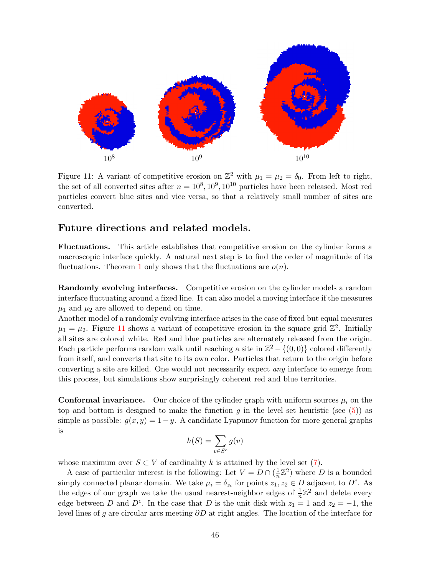

<span id="page-45-0"></span>Figure 11: A variant of competitive erosion on  $\mathbb{Z}^2$  with  $\mu_1 = \mu_2 = \delta_0$ . From left to right, the set of all converted sites after  $n = 10^8, 10^9, 10^{10}$  particles have been released. Most red particles convert blue sites and vice versa, so that a relatively small number of sites are converted.

### Future directions and related models.

Fluctuations. This article establishes that competitive erosion on the cylinder forms a macroscopic interface quickly. A natural next step is to find the order of magnitude of its fluctuations. Theorem [1](#page-1-1) only shows that the fluctuations are  $o(n)$ .

Randomly evolving interfaces. Competitive erosion on the cylinder models a random interface fluctuating around a fixed line. It can also model a moving interface if the measures  $\mu_1$  and  $\mu_2$  are allowed to depend on time.

Another model of a randomly evolving interface arises in the case of fixed but equal measures  $\mu_1 = \mu_2$ . Figure [11](#page-45-0) shows a variant of competitive erosion in the square grid  $\mathbb{Z}^2$ . Initially all sites are colored white. Red and blue particles are alternately released from the origin. Each particle performs random walk until reaching a site in  $\mathbb{Z}^2 - \{(0,0)\}$  colored differently from itself, and converts that site to its own color. Particles that return to the origin before converting a site are killed. One would not necessarily expect any interface to emerge from this process, but simulations show surprisingly coherent red and blue territories.

**Conformal invariance.** Our choice of the cylinder graph with uniform sources  $\mu_i$  on the top and bottom is designed to make the function g in the level set heuristic (see  $(5)$ ) as simple as possible:  $g(x, y) = 1-y$ . A candidate Lyapunov function for more general graphs is

$$
h(S) = \sum_{v \in S^c} g(v)
$$

whose maximum over  $S \subset V$  of cardinality k is attained by the level set [\(7\)](#page-3-3).

A case of particular interest is the following: Let  $V = D \cap (\frac{1}{n})$  $\frac{1}{n}\mathbb{Z}^2$ ) where D is a bounded simply connected planar domain. We take  $\mu_i = \delta_{z_i}$  for points  $z_1, z_2 \in D$  adjacent to  $D^c$ . As the edges of our graph we take the usual nearest-neighbor edges of  $\frac{1}{n}\mathbb{Z}^2$  and delete every edge between D and  $D^c$ . In the case that D is the unit disk with  $z_1 = 1$  and  $z_2 = -1$ , the level lines of g are circular arcs meeting  $\partial D$  at right angles. The location of the interface for